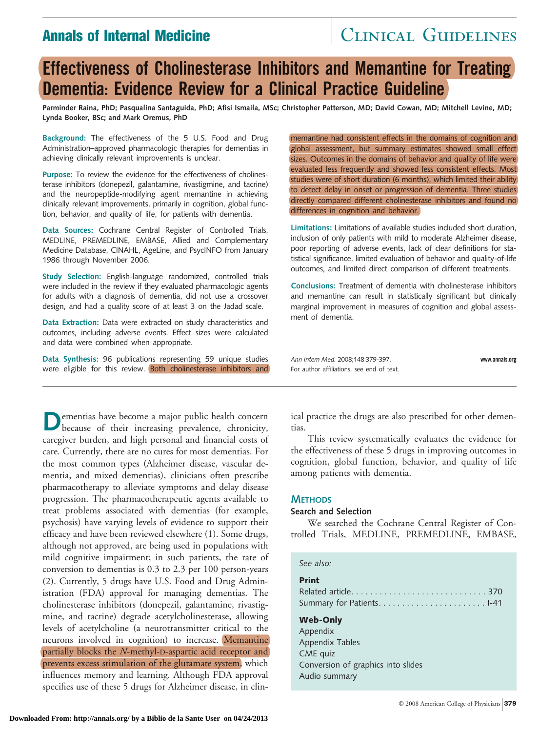# **Annals of Internal Medicine CLINICAL GUIDELINES**

# **Effectiveness of Cholinesterase Inhibitors and Memantine for Treating Dementia: Evidence Review for a Clinical Practice Guideline**

**Parminder Raina, PhD; Pasqualina Santaguida, PhD; Afisi Ismaila, MSc; Christopher Patterson, MD; David Cowan, MD; Mitchell Levine, MD; Lynda Booker, BSc; and Mark Oremus, PhD**

**Background:** The effectiveness of the 5 U.S. Food and Drug Administration–approved pharmacologic therapies for dementias in achieving clinically relevant improvements is unclear.

**Purpose:** To review the evidence for the effectiveness of cholinesterase inhibitors (donepezil, galantamine, rivastigmine, and tacrine) and the neuropeptide-modifying agent memantine in achieving clinically relevant improvements, primarily in cognition, global function, behavior, and quality of life, for patients with dementia.

**Data Sources:** Cochrane Central Register of Controlled Trials, MEDLINE, PREMEDLINE, EMBASE, Allied and Complementary Medicine Database, CINAHL, AgeLine, and PsycINFO from January 1986 through November 2006.

**Study Selection:** English-language randomized, controlled trials were included in the review if they evaluated pharmacologic agents for adults with a diagnosis of dementia, did not use a crossover design, and had a quality score of at least 3 on the Jadad scale.

**Data Extraction:** Data were extracted on study characteristics and outcomes, including adverse events. Effect sizes were calculated and data were combined when appropriate.

**Data Synthesis:** 96 publications representing 59 unique studies were eligible for this review. Both cholinesterase inhibitors and

**D**ementias have become a major public health concern<br>because of their increasing prevalence, chronicity, caregiver burden, and high personal and financial costs of care. Currently, there are no cures for most dementias. For the most common types (Alzheimer disease, vascular dementia, and mixed dementias), clinicians often prescribe pharmacotherapy to alleviate symptoms and delay disease progression. The pharmacotherapeutic agents available to treat problems associated with dementias (for example, psychosis) have varying levels of evidence to support their efficacy and have been reviewed elsewhere (1). Some drugs, although not approved, are being used in populations with mild cognitive impairment; in such patients, the rate of conversion to dementias is 0.3 to 2.3 per 100 person-years (2). Currently, 5 drugs have U.S. Food and Drug Administration (FDA) approval for managing dementias. The cholinesterase inhibitors (donepezil, galantamine, rivastigmine, and tacrine) degrade acetylcholinesterase, allowing levels of acetylcholine (a neurotransmitter critical to the neurons involved in cognition) to increase. Memantine partially blocks the *N*-methyl-D-aspartic acid receptor and prevents excess stimulation of the glutamate system, which influences memory and learning. Although FDA approval specifies use of these 5 drugs for Alzheimer disease, in clinmemantine had consistent effects in the domains of cognition and global assessment, but summary estimates showed small effect sizes. Outcomes in the domains of behavior and quality of life were evaluated less frequently and showed less consistent effects. Most studies were of short duration (6 months), which limited their ability to detect delay in onset or progression of dementia. Three studies directly compared different cholinesterase inhibitors and found no differences in cognition and behavior.

**Limitations:** Limitations of available studies included short duration, inclusion of only patients with mild to moderate Alzheimer disease, poor reporting of adverse events, lack of clear definitions for statistical significance, limited evaluation of behavior and quality-of-life outcomes, and limited direct comparison of different treatments.

**Conclusions:** Treatment of dementia with cholinesterase inhibitors and memantine can result in statistically significant but clinically marginal improvement in measures of cognition and global assessment of dementia.

*Ann Intern Med.* 2008;148:379-397. **www.annals.org** For author affiliations, see end of text.

ical practice the drugs are also prescribed for other dementias.

This review systematically evaluates the evidence for the effectiveness of these 5 drugs in improving outcomes in cognition, global function, behavior, and quality of life among patients with dementia.

#### **METHODS**

#### **Search and Selection**

We searched the Cochrane Central Register of Controlled Trials, MEDLINE, PREMEDLINE, EMBASE,

#### *See also:*

## **Print**

**Web-Only** Appendix

Appendix Tables CME quiz Conversion of graphics into slides Audio summary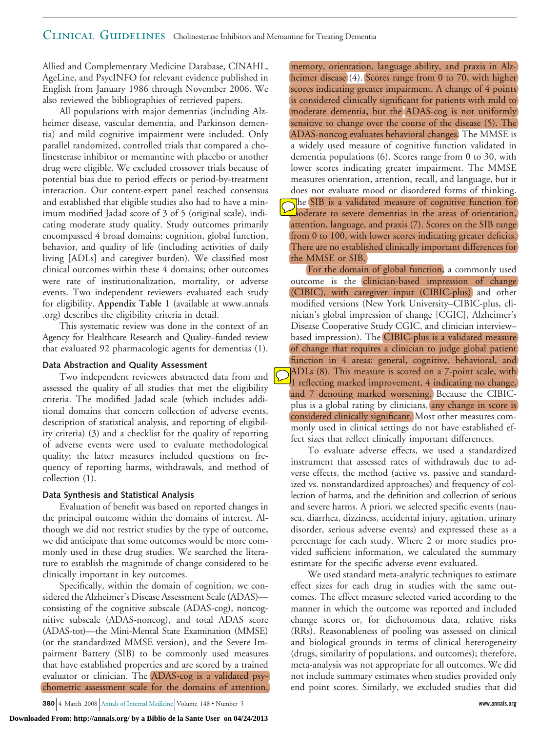# CLINICAL GUIDELINES | Cholinesterase Inhibitors and Memantine for Treating Dementia

Allied and Complementary Medicine Database, CINAHL, AgeLine, and PsycINFO for relevant evidence published in English from January 1986 through November 2006. We also reviewed the bibliographies of retrieved papers.

All populations with major dementias (including Alzheimer disease, vascular dementia, and Parkinson dementia) and mild cognitive impairment were included. Only parallel randomized, controlled trials that compared a cholinesterase inhibitor or memantine with placebo or another drug were eligible. We excluded crossover trials because of potential bias due to period effects or period-by-treatment interaction. Our content-expert panel reached consensus and established that eligible studies also had to have a minimum modified Jadad score of 3 of 5 (original scale), indicating moderate study quality. Study outcomes primarily encompassed 4 broad domains: cognition, global function, behavior, and quality of life (including activities of daily living [ADLs] and caregiver burden). We classified most clinical outcomes within these 4 domains; other outcomes were rate of institutionalization, mortality, or adverse events. Two independent reviewers evaluated each study for eligibility. **Appendix Table 1** (available at www.annals .org) describes the eligibility criteria in detail.

This systematic review was done in the context of an Agency for Healthcare Research and Quality–funded review that evaluated 92 pharmacologic agents for dementias (1).

#### **Data Abstraction and Quality Assessment**

Two independent reviewers abstracted data from and assessed the quality of all studies that met the eligibility criteria. The modified Jadad scale (which includes additional domains that concern collection of adverse events, description of statistical analysis, and reporting of eligibility criteria) (3) and a checklist for the quality of reporting of adverse events were used to evaluate methodological quality; the latter measures included questions on frequency of reporting harms, withdrawals, and method of collection (1).

#### **Data Synthesis and Statistical Analysis**

Evaluation of benefit was based on reported changes in the principal outcome within the domains of interest. Although we did not restrict studies by the type of outcome, we did anticipate that some outcomes would be more commonly used in these drug studies. We searched the literature to establish the magnitude of change considered to be clinically important in key outcomes.

Specifically, within the domain of cognition, we considered the Alzheimer's Disease Assessment Scale (ADAS) consisting of the cognitive subscale (ADAS-cog), noncognitive subscale (ADAS-noncog), and total ADAS score (ADAS-tot)—the Mini-Mental State Examination (MMSE) (or the standardized MMSE version), and the Severe Impairment Battery (SIB) to be commonly used measures that have established properties and are scored by a trained evaluator or clinician. The ADAS-cog is a validated psychometric assessment scale for the domains of attention,

**380** 4 March 2008 Annals of Internal Medicine Volume 148 • Number 5 *www.annals.org* 

memory, orientation, language ability, and praxis in Alzheimer disease (4). Scores range from 0 to 70, with higher scores indicating greater impairment. A change of 4 points is considered clinically significant for patients with mild to moderate dementia, but the ADAS-cog is not uniformly sensitive to change over the course of the disease (5). The ADAS-noncog evaluates behavioral changes. The MMSE is a widely used measure of cognitive function validated in dementia populations (6). Scores range from 0 to 30, with lower scores indicating greater impairment. The MMSE measures orientation, attention, recall, and language, but it does not evaluate mood or disordered forms of thinking. The SIB is a validated measure of cognitive function for hoderate to severe dementias in the areas of orientation, attention, language, and praxis (7). Scores on the SIB range from 0 to 100, with lower scores indicating greater deficits. There are no established clinically important differences for the MMSE or SIB.

For the domain of global function, a commonly used outcome is the clinician-based impression of change (CIBIC), with caregiver input (CIBIC-plus) and other modified versions (New York University–CIBIC-plus, clinician's global impression of change [CGIC], Alzheimer's Disease Cooperative Study CGIC, and clinician interview– based impression). The CIBIC-plus is a validated measure of change that requires a clinician to judge global patient function in 4 areas: general, cognitive, behavioral, and ADLs (8). This measure is scored on a 7-point scale, with 1 reflecting marked improvement, 4 indicating no change, and 7 denoting marked worsening. Because the CIBICplus is a global rating by clinicians, any change in score is considered clinically significant. Most other measures commonly used in clinical settings do not have established effect sizes that reflect clinically important differences.

To evaluate adverse effects, we used a standardized instrument that assessed rates of withdrawals due to adverse effects, the method (active vs. passive and standardized vs. nonstandardized approaches) and frequency of collection of harms, and the definition and collection of serious and severe harms. A priori, we selected specific events (nausea, diarrhea, dizziness, accidental injury, agitation, urinary disorder, serious adverse events) and expressed these as a percentage for each study. Where 2 or more studies provided sufficient information, we calculated the summary estimate for the specific adverse event evaluated.

We used standard meta-analytic techniques to estimate effect sizes for each drug in studies with the same outcomes. The effect measure selected varied according to the manner in which the outcome was reported and included change scores or, for dichotomous data, relative risks (RRs). Reasonableness of pooling was assessed on clinical and biological grounds in terms of clinical heterogeneity (drugs, similarity of populations, and outcomes); therefore, meta-analysis was not appropriate for all outcomes. We did not include summary estimates when studies provided only end point scores. Similarly, we excluded studies that did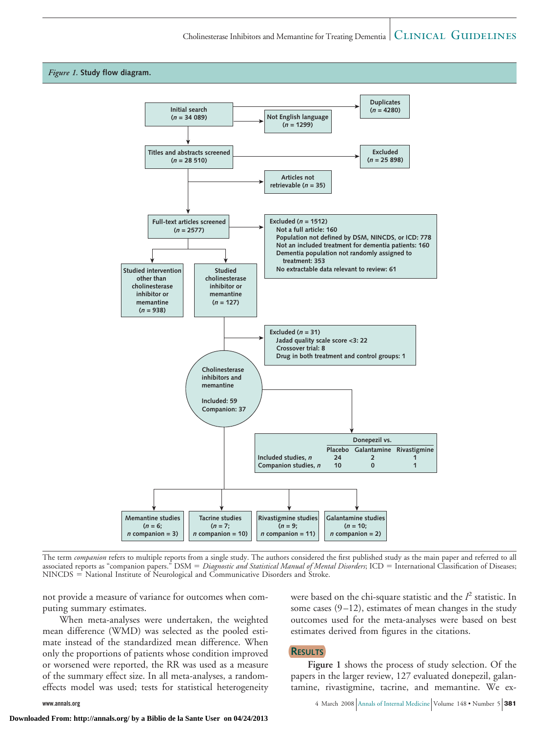# Cholinesterase Inhibitors and Memantine for Treating Dementia | CLINICAL GUIDELINES





The term *companion* refers to multiple reports from a single study. The authors considered the first published study as the main paper and referred to all associated reports as "companion papers." DSM = Diagnostic and Statistical Manual of Mental Disorders; ICD = International Classification of Diseases;  $NINCDS =$  National Institute of Neurological and Communicative Disorders and Stroke.

not provide a measure of variance for outcomes when computing summary estimates.

When meta-analyses were undertaken, the weighted mean difference (WMD) was selected as the pooled estimate instead of the standardized mean difference. When only the proportions of patients whose condition improved or worsened were reported, the RR was used as a measure of the summary effect size. In all meta-analyses, a randomeffects model was used; tests for statistical heterogeneity

were based on the chi-square statistic and the *I* <sup>2</sup> statistic. In some cases  $(9-12)$ , estimates of mean changes in the study outcomes used for the meta-analyses were based on best estimates derived from figures in the citations.

#### **RESULTS**

**Figure 1** shows the process of study selection. Of the papers in the larger review, 127 evaluated donepezil, galantamine, rivastigmine, tacrine, and memantine. We ex-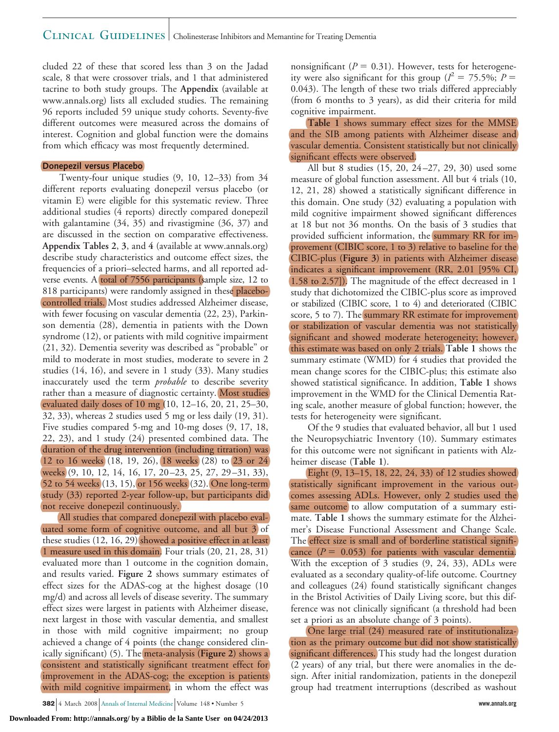# CLINICAL GUIDELINES | Cholinesterase Inhibitors and Memantine for Treating Dementia

cluded 22 of these that scored less than 3 on the Jadad scale, 8 that were crossover trials, and 1 that administered tacrine to both study groups. The **Appendix** (available at www.annals.org) lists all excluded studies. The remaining 96 reports included 59 unique study cohorts. Seventy-five different outcomes were measured across the domains of interest. Cognition and global function were the domains from which efficacy was most frequently determined.

#### **Donepezil versus Placebo**

Twenty-four unique studies (9, 10, 12–33) from 34 different reports evaluating donepezil versus placebo (or vitamin E) were eligible for this systematic review. Three additional studies (4 reports) directly compared donepezil with galantamine (34, 35) and rivastigmine (36, 37) and are discussed in the section on comparative effectiveness. **Appendix Tables 2**, **3**, and **4** (available at www.annals.org) describe study characteristics and outcome effect sizes, the frequencies of a priori–selected harms, and all reported adverse events. A total of 7556 participants (sample size, 12 to 818 participants) were randomly assigned in these placebocontrolled trials. Most studies addressed Alzheimer disease, with fewer focusing on vascular dementia (22, 23), Parkinson dementia (28), dementia in patients with the Down syndrome (12), or patients with mild cognitive impairment (21, 32). Dementia severity was described as "probable" or mild to moderate in most studies, moderate to severe in 2 studies (14, 16), and severe in 1 study (33). Many studies inaccurately used the term *probable* to describe severity rather than a measure of diagnostic certainty. Most studies evaluated daily doses of 10 mg (10, 12–16, 20, 21, 25–30, 32, 33), whereas 2 studies used 5 mg or less daily (19, 31). Five studies compared 5-mg and 10-mg doses (9, 17, 18, 22, 23), and 1 study (24) presented combined data. The duration of the drug intervention (including titration) was 12 to 16 weeks (18, 19, 26), 18 weeks (28) to 23 or 24 weeks (9, 10, 12, 14, 16, 17, 20–23, 25, 27, 29–31, 33), 52 to 54 weeks (13, 15), or 156 weeks (32). One long-term study (33) reported 2-year follow-up, but participants did not receive donepezil continuously.

All studies that compared donepezil with placebo evaluated some form of cognitive outcome, and all but 3 of these studies (12, 16, 29) showed a positive effect in at least 1 measure used in this domain. Four trials (20, 21, 28, 31) evaluated more than 1 outcome in the cognition domain, and results varied. **Figure 2** shows summary estimates of effect sizes for the ADAS-cog at the highest dosage (10 mg/d) and across all levels of disease severity. The summary effect sizes were largest in patients with Alzheimer disease, next largest in those with vascular dementia, and smallest in those with mild cognitive impairment; no group achieved a change of 4 points (the change considered clinically significant) (5). The meta-analysis (**Figure 2**) shows a consistent and statistically significant treatment effect for improvement in the ADAS-cog; the exception is patients with mild cognitive impairment, in whom the effect was

**382** 4 March 2008 Annals of Internal Medicine Volume 148 • Number 5 **www.annals.org**

nonsignificant ( $P = 0.31$ ). However, tests for heterogeneity were also significant for this group ( $l^2 = 75.5\%$ ;  $P =$ 0.043). The length of these two trials differed appreciably (from 6 months to 3 years), as did their criteria for mild cognitive impairment.

**Table 1** shows summary effect sizes for the MMSE and the SIB among patients with Alzheimer disease and vascular dementia. Consistent statistically but not clinically significant effects were observed.

All but 8 studies (15, 20, 24 –27, 29, 30) used some measure of global function assessment. All but 4 trials (10, 12, 21, 28) showed a statistically significant difference in this domain. One study (32) evaluating a population with mild cognitive impairment showed significant differences at 18 but not 36 months. On the basis of 3 studies that provided sufficient information, the summary RR for improvement (CIBIC score, 1 to 3) relative to baseline for the CIBIC-plus (**Figure 3**) in patients with Alzheimer disease indicates a significant improvement (RR, 2.01 [95% CI, 1.58 to 2.57]). The magnitude of the effect decreased in 1 study that dichotomized the CIBIC-plus score as improved or stabilized (CIBIC score, 1 to 4) and deteriorated (CIBIC score, 5 to 7). The summary RR estimate for improvement or stabilization of vascular dementia was not statistically significant and showed moderate heterogeneity; however, this estimate was based on only 2 trials. **Table 1** shows the summary estimate (WMD) for 4 studies that provided the mean change scores for the CIBIC-plus; this estimate also showed statistical significance. In addition, **Table 1** shows improvement in the WMD for the Clinical Dementia Rating scale, another measure of global function; however, the tests for heterogeneity were significant.

Of the 9 studies that evaluated behavior, all but 1 used the Neuropsychiatric Inventory (10). Summary estimates for this outcome were not significant in patients with Alzheimer disease (**Table 1**).

Eight (9, 13–15, 18, 22, 24, 33) of 12 studies showed statistically significant improvement in the various outcomes assessing ADLs. However, only 2 studies used the same outcome to allow computation of a summary estimate. **Table 1** shows the summary estimate for the Alzheimer's Disease Functional Assessment and Change Scale. The effect size is small and of borderline statistical significance  $(P = 0.053)$  for patients with vascular dementia. With the exception of 3 studies (9, 24, 33), ADLs were evaluated as a secondary quality-of-life outcome. Courtney and colleagues (24) found statistically significant changes in the Bristol Activities of Daily Living score, but this difference was not clinically significant (a threshold had been set a priori as an absolute change of 3 points).

One large trial (24) measured rate of institutionalization as the primary outcome but did not show statistically significant differences. This study had the longest duration (2 years) of any trial, but there were anomalies in the design. After initial randomization, patients in the donepezil group had treatment interruptions (described as washout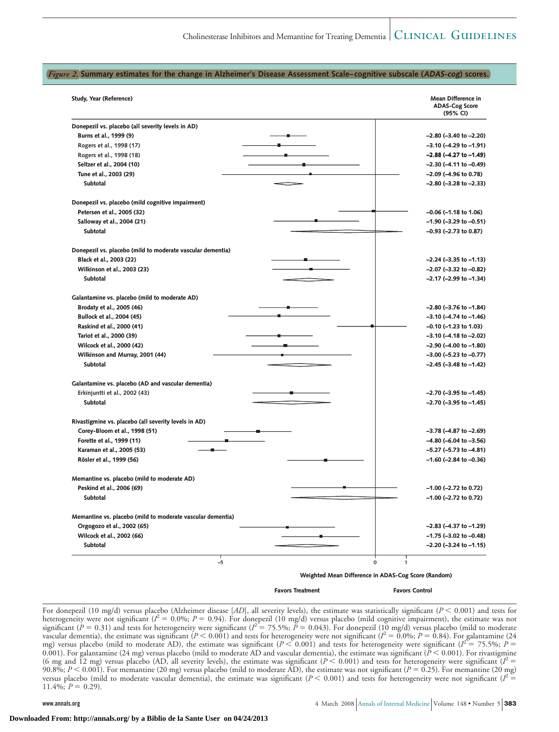#### *Figure 2.* **Summary estimates for the change in Alzheimer's Disease Assessment Scale–cognitive subscale (ADAS-cog) scores.**

| Study, Year (Reference)                                    | Mean Difference in<br><b>ADAS-Cog Score</b><br>(95% CI) |
|------------------------------------------------------------|---------------------------------------------------------|
| Donepezil vs. placebo (all severity levels in AD)          |                                                         |
| Burns et al., 1999 (9)                                     | $-2.80$ ( $-3.40$ to $-2.20$ )                          |
| Rogers et al., 1998 (17)                                   | $-3.10$ ( $-4.29$ to $-1.91$ )                          |
| Rogers et al., 1998 (18)                                   | $-2.88$ ( $-4.27$ to $-1.49$ )                          |
| Seltzer et al., 2004 (10)                                  | $-2.30$ ( $-4.11$ to $-0.49$ )                          |
| Tune et al., 2003 (29)                                     | $-2.09$ ( $-4.96$ to 0.78)                              |
| Subtotal                                                   | $-2.80$ ( $-3.28$ to $-2.33$ )                          |
| Donepezil vs. placebo (mild cognitive impairment)          |                                                         |
| Petersen et al., 2005 (32)                                 | $-0.06$ ( $-1.18$ to 1.06)                              |
| Salloway et al., 2004 (21)                                 | $-1.90$ ( $-3.29$ to $-0.51$ )                          |
| Subtotal                                                   | $-0.93$ ( $-2.73$ to 0.87)                              |
| Donepezil vs. placebo (mild to moderate vascular dementia) |                                                         |
| Black et al., 2003 (22)                                    | $-2.24$ ( $-3.35$ to $-1.13$ )                          |
| Wilkinson et al., 2003 (23)                                | $-2.07$ ( $-3.32$ to $-0.82$ )                          |
| Subtotal                                                   | $-2.17$ ( $-2.99$ to $-1.34$ )                          |
| Galantamine vs. placebo (mild to moderate AD)              |                                                         |
| Brodaty et al., 2005 (46)                                  | $-2.80$ ( $-3.76$ to $-1.84$ )                          |
| Bullock et al., 2004 (45)                                  | $-3.10$ ( $-4.74$ to $-1.46$ )                          |
| Raskind et al., 2000 (41)                                  | $-0.10$ ( $-1.23$ to 1.03)                              |
| Tariot et al., 2000 (39)                                   | $-3.10$ ( $-4.18$ to $-2.02$ )                          |
| Wilcock et al., 2000 (42)                                  | $-2.90$ ( $-4.00$ to $-1.80$ )                          |
| Wilkinson and Murray, 2001 (44)                            | $-3.00$ ( $-5.23$ to $-0.77$ )                          |
| Subtotal                                                   | $-2.45$ ( $-3.48$ to $-1.42$ )                          |
| Galantamine vs. placebo (AD and vascular dementia)         |                                                         |
| Erkinjuntti et al., 2002 (43)                              | $-2.70$ ( $-3.95$ to $-1.45$ )                          |
| <b>Subtotal</b>                                            | $-2.70$ ( $-3.95$ to $-1.45$ )                          |
| Rivastigmine vs. placebo (all severity levels in AD)       |                                                         |
| Corey-Bloom et al., 1998 (51)                              | $-3.78$ ( $-4.87$ to $-2.69$ )                          |
| Forette et al., 1999 (11)                                  | $-4.80$ (-6.04 to $-3.56$ )                             |
| Karaman et al., 2005 (53)                                  | $-5.27$ ( $-5.73$ to $-4.81$ )                          |
| Rösler et al., 1999 (56)                                   | $-1.60$ ( $-2.84$ to $-0.36$ )                          |
| Memantine vs. placebo (mild to moderate AD)                |                                                         |
| Peskind et al., 2006 (69)                                  | $-1.00$ ( $-2.72$ to 0.72)                              |
| Subtotal                                                   | $-1.00$ ( $-2.72$ to 0.72)                              |
| Memantine vs. placebo (mild to moderate vascular dementia) |                                                         |
| Orgogozo et al., 2002 (65)                                 | $-2.83$ ( $-4.37$ to $-1.29$ )                          |
| Wilcock et al., 2002 (66)                                  | $-1.75$ ( $-3.02$ to $-0.48$ )                          |
| Subtotal                                                   | $-2.20$ ( $-3.24$ to $-1.15$ )                          |
| $-5$                                                       | $\mathbf 0$<br>1                                        |

**Favors Treatment Favors Control** 

For donepezil (10 mg/d) versus placebo (Alzheimer disease [*AD*], all severity levels), the estimate was statistically significant (*P* < 0.001) and tests for heterogeneity were not significant ( $l^2 = 0.0$ %;  $P = 0.94$ ). For donepezil (10 mg/d) versus placebo (mild cognitive impairment), the estimate was not significant ( $\hat{P} = 0.31$ ) and tests for heterogeneity were significant ( $\hat{P} = 75.5\%$ ;  $\hat{P} = 0.043$ ). For donepezil (10 mg/d) versus placebo (mild to moderate vascular dementia), the estimate was significant  $(P < 0.001)$  and tests for heterogeneity were not significant  $(P = 0.0\% ; P = 0.84)$ . For galantamine (24 mg) versus placebo (mild to moderate AD), the estimate was significant ( $P \le 0.001$ ) and tests for heterogeneity were significant ( $P^2 = 75.5\%$ ;  $P =$  $0.001$ ). For galantamine (24 mg) versus placebo (mild to moderate AD and vascular dementia), the estimate was significant ( $P < 0.001$ ). For rivastigmine (6 mg and 12 mg) versus placebo (AD, all severity levels), the estimate was significant ( $P < 0.001$ ) and tests for heterogeneity were significant ( $I^2$  = 90.8%; *P* - 0.001). For memantine (20 mg) versus placebo (mild to moderate AD), the estimate was not significant (*P* 0.25). For memantine (20 mg) versus placebo (mild to moderate vascular dementia), the estimate was significant (*P* < 0.001) and tests for heterogeneity were not significant (*P*  $\stackrel{\sim}{=}$  $11.4\%$ ;  $P = 0.29$ ).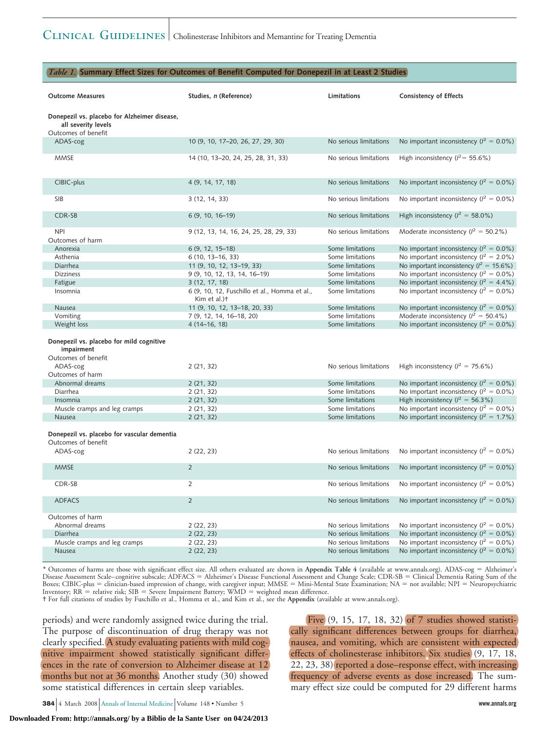#### *Table 1.* **Summary Effect Sizes for Outcomes of Benefit Computed for Donepezil in at Least 2 Studies**

| <b>Outcome Measures</b>                                                                    | Studies, n (Reference)                        | Limitations            | Consistency of Effects                        |
|--------------------------------------------------------------------------------------------|-----------------------------------------------|------------------------|-----------------------------------------------|
| Donepezil vs. placebo for Alzheimer disease,<br>all severity levels<br>Outcomes of benefit |                                               |                        |                                               |
| ADAS-cog                                                                                   | 10 (9, 10, 17-20, 26, 27, 29, 30)             | No serious limitations | No important inconsistency ( $l^2 = 0.0\%$ )  |
| <b>MMSE</b>                                                                                | 14 (10, 13-20, 24, 25, 28, 31, 33)            | No serious limitations | High inconsistency ( $l^2$ = 55.6%)           |
| CIBIC-plus                                                                                 | 4 (9, 14, 17, 18)                             | No serious limitations | No important inconsistency ( $l^2 = 0.0\%$ )  |
| <b>SIB</b>                                                                                 | 3 (12, 14, 33)                                | No serious limitations | No important inconsistency ( $l^2 = 0.0\%$ )  |
| CDR-SB                                                                                     | $6(9, 10, 16-19)$                             | No serious limitations | High inconsistency ( $l^2 = 58.0\%$ )         |
| <b>NPI</b><br>Outcomes of harm                                                             | 9 (12, 13, 14, 16, 24, 25, 28, 29, 33)        | No serious limitations | Moderate inconsistency ( $l^2 = 50.2\%$ )     |
| Anorexia                                                                                   | 6 (9, 12, 15-18)                              | Some limitations       | No important inconsistency ( $l^2 = 0.0\%$ )  |
| Asthenia                                                                                   | 6 (10, 13-16, 33)                             | Some limitations       | No important inconsistency ( $l^2 = 2.0\%$ )  |
| Diarrhea                                                                                   | 11 (9, 10, 12, 13-19, 33)                     | Some limitations       | No important inconsistency ( $l^2 = 15.6\%$ ) |
| <b>Dizziness</b>                                                                           | 9 (9, 10, 12, 13, 14, 16-19)                  | Some limitations       | No important inconsistency ( $l^2 = 0.0\%$ )  |
| Fatigue                                                                                    | 3(12, 17, 18)                                 | Some limitations       | No important inconsistency ( $l^2 = 4.4\%$ )  |
| Insomnia                                                                                   | 6 (9, 10, 12, Fuschillo et al., Homma et al., | Some limitations       | No important inconsistency ( $l^2 = 0.0\%$ )  |
|                                                                                            | Kim et al.)+                                  |                        |                                               |
| Nausea                                                                                     | 11 (9, 10, 12, 13-18, 20, 33)                 | Some limitations       | No important inconsistency ( $l^2 = 0.0\%$ )  |
| Vomiting                                                                                   | 7 (9, 12, 14, 16-18, 20)                      | Some limitations       | Moderate inconsistency ( $l^2 = 50.4\%$ )     |
| Weight loss                                                                                | $4(14-16, 18)$                                | Some limitations       | No important inconsistency ( $l^2 = 0.0\%$ )  |
| Donepezil vs. placebo for mild cognitive<br>impairment<br>Outcomes of benefit              |                                               |                        |                                               |
| ADAS-cog<br>Outcomes of harm                                                               | 2(21, 32)                                     | No serious limitations | High inconsistency ( $l^2$ = 75.6%)           |
| Abnormal dreams                                                                            | 2(21, 32)                                     | Some limitations       | No important inconsistency ( $l^2 = 0.0\%$ )  |
| Diarrhea                                                                                   | 2(21, 32)                                     | Some limitations       | No important inconsistency ( $l^2 = 0.0\%$ )  |
| Insomnia                                                                                   | 2(21, 32)                                     | Some limitations       | High inconsistency ( $l^2 = 56.3\%$ )         |
| Muscle cramps and leg cramps                                                               | 2(21, 32)                                     | Some limitations       | No important inconsistency ( $l^2 = 0.0\%$ )  |
| Nausea                                                                                     | 2(21, 32)                                     | Some limitations       | No important inconsistency ( $l^2 = 1.7\%$ )  |
| Donepezil vs. placebo for vascular dementia<br>Outcomes of benefit<br>ADAS-cog             | 2(22, 23)                                     | No serious limitations | No important inconsistency ( $l^2 = 0.0\%$ )  |
|                                                                                            |                                               |                        |                                               |
| <b>MMSE</b>                                                                                | $\overline{2}$                                | No serious limitations | No important inconsistency ( $l^2 = 0.0\%$ )  |
| CDR-SB                                                                                     | $\overline{2}$                                | No serious limitations | No important inconsistency ( $l^2 = 0.0\%$ )  |
| <b>ADFACS</b>                                                                              | $\overline{2}$                                | No serious limitations | No important inconsistency ( $l^2 = 0.0\%$ )  |
| Outcomes of harm                                                                           |                                               |                        |                                               |
| Abnormal dreams                                                                            | 2(22, 23)                                     | No serious limitations | No important inconsistency ( $l^2 = 0.0\%$ )  |
| Diarrhea                                                                                   | 2(22, 23)                                     | No serious limitations | No important inconsistency ( $l^2 = 0.0\%$ )  |
| Muscle cramps and leg cramps                                                               | 2(22, 23)                                     | No serious limitations | No important inconsistency ( $l^2 = 0.0\%$ )  |
| Nausea                                                                                     | 2(22, 23)                                     | No serious limitations | No important inconsistency ( $l^2 = 0.0\%$ )  |
|                                                                                            |                                               |                        |                                               |

\* Outcomes of harms are those with significant effect size. All others evaluated are shown in **Appendix Table 4** (available at www.annals.org). ADAS-cog Alzheimer's Disease Assessment Scale– cognitive subscale; ADFACS = Alzheimer's Disease Functional Assessment and Change Scale; CDR-SB = Clinical Dementia Rating Sum of the Boxes; CIBIC-plus = clinician-based impression of change, with caregiver input; MMSE = Mini-Mental State Examination; NA = not available; NPI = Neuropsychiatric Inventory;  $RR =$  relative risk;  $SIB =$  Severe Impairment Battery; WMD = weighted mean difference.

† For full citations of studies by Fuschillo et al., Homma et al., and Kim et al., see the **Appendix** (available at www.annals.org).

periods) and were randomly assigned twice during the trial. The purpose of discontinuation of drug therapy was not clearly specified. A study evaluating patients with mild cognitive impairment showed statistically significant differences in the rate of conversion to Alzheimer disease at 12 months but not at 36 months. Another study (30) showed some statistical differences in certain sleep variables.

Five (9, 15, 17, 18, 32) of 7 studies showed statistically significant differences between groups for diarrhea, nausea, and vomiting, which are consistent with expected effects of cholinesterase inhibitors. Six studies (9, 17, 18, 22, 23, 38) reported a dose–response effect, with increasing frequency of adverse events as dose increased. The summary effect size could be computed for 29 different harms

**384** 4 March 2008 Annals of Internal Medicine Volume 148 • Number 5 **www.annals.org**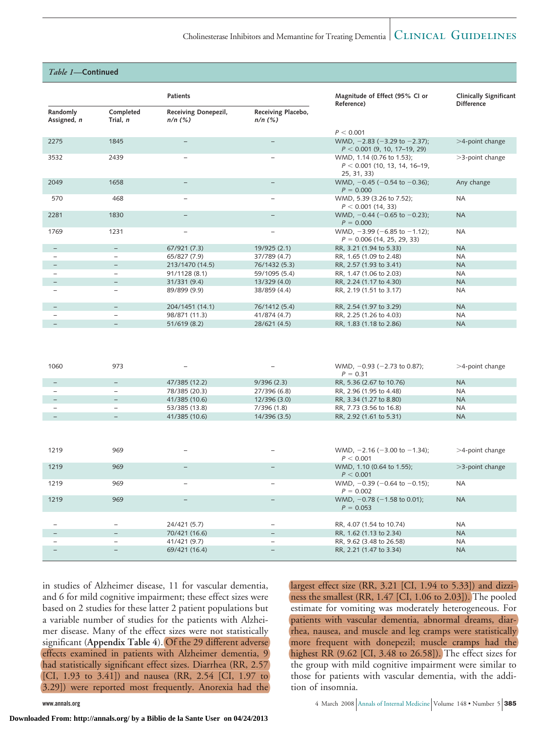#### *Table 1—***Continued**

|                         |                          | <b>Patients</b>                   |                                 | Magnitude of Effect (95% CI or<br>Reference)                                | <b>Clinically Significant</b><br><b>Difference</b> |
|-------------------------|--------------------------|-----------------------------------|---------------------------------|-----------------------------------------------------------------------------|----------------------------------------------------|
| Randomly<br>Assigned, n | Completed<br>Trial, n    | Receiving Donepezil,<br>$n/n$ (%) | Receiving Placebo,<br>$n/n$ (%) |                                                                             |                                                    |
|                         |                          |                                   |                                 | P < 0.001                                                                   |                                                    |
| 2275                    | 1845                     |                                   |                                 | WMD, $-2.83$ ( $-3.29$ to $-2.37$ );<br>$P < 0.001$ (9, 10, 17–19, 29)      | $>4$ -point change                                 |
| 3532                    | 2439                     | -                                 | -                               | WMD, 1.14 (0.76 to 1.53);<br>$P < 0.001$ (10, 13, 14, 16-19,<br>25, 31, 33) | $>$ 3-point change                                 |
| 2049                    | 1658                     | -                                 |                                 | WMD, $-0.45$ ( $-0.54$ to $-0.36$ );<br>$P = 0.000$                         | Any change                                         |
| 570                     | 468                      | -                                 |                                 | WMD, 5.39 (3.26 to 7.52):<br>$P < 0.001$ (14, 33)                           | <b>NA</b>                                          |
| 2281                    | 1830                     |                                   |                                 | WMD, $-0.44$ ( $-0.65$ to $-0.23$ );<br>$P = 0.000$                         | <b>NA</b>                                          |
| 1769                    | 1231                     | $\overline{\phantom{0}}$          |                                 | WMD, $-3.99$ ( $-6.85$ to $-1.12$ );<br>$P = 0.006(14, 25, 29, 33)$         | <b>NA</b>                                          |
|                         | $\overline{\phantom{m}}$ | 67/921(7.3)                       | 19/925 (2.1)                    | RR, 3.21 (1.94 to 5.33)                                                     | <b>NA</b>                                          |
|                         | $\overline{\phantom{a}}$ | 65/827 (7.9)                      | 37/789 (4.7)                    | RR, 1.65 (1.09 to 2.48)                                                     | <b>NA</b>                                          |
|                         |                          | 213/1470 (14.5)                   | 76/1432 (5.3)                   | RR, 2.57 (1.93 to 3.41)                                                     | <b>NA</b>                                          |
|                         | $\overline{\phantom{m}}$ | 91/1128 (8.1)                     | 59/1095 (5.4)                   | RR, 1.47 (1.06 to 2.03)                                                     | <b>NA</b>                                          |
|                         |                          | 31/331 (9.4)                      | 13/329(4.0)                     | RR, 2.24 (1.17 to 4.30)                                                     | <b>NA</b>                                          |
|                         |                          | 89/899 (9.9)                      | 38/859 (4.4)                    | RR, 2.19 (1.51 to 3.17)                                                     | <b>NA</b>                                          |
|                         |                          | 204/1451 (14.1)                   | 76/1412 (5.4)                   | RR, 2.54 (1.97 to 3.29)                                                     | <b>NA</b>                                          |
|                         |                          | 98/871 (11.3)                     | 41/874 (4.7)                    | RR, 2.25 (1.26 to 4.03)                                                     | <b>NA</b>                                          |
|                         |                          | 51/619(8.2)                       | 28/621 (4.5)                    | RR, 1.83 (1.18 to 2.86)                                                     | <b>NA</b>                                          |

| 1060 | 973                      |                          |                          | WMD, $-0.93$ ( $-2.73$ to 0.87);<br>$P = 0.31$      | $>4$ -point change |
|------|--------------------------|--------------------------|--------------------------|-----------------------------------------------------|--------------------|
|      |                          | 47/385 (12.2)            | 9/396(2.3)               | RR, 5.36 (2.67 to 10.76)                            | <b>NA</b>          |
|      | $\overline{\phantom{0}}$ | 78/385 (20.3)            | 27/396 (6.8)             | RR, 2.96 (1.95 to 4.48)                             | <b>NA</b>          |
|      |                          | 41/385 (10.6)            | 12/396(3.0)              | RR, 3.34 (1.27 to 8.80)                             | <b>NA</b>          |
|      |                          | 53/385 (13.8)            | 7/396(1.8)               | RR, 7.73 (3.56 to 16.8)                             | <b>NA</b>          |
|      |                          | 41/385 (10.6)            | 14/396 (3.5)             | RR, 2.92 (1.61 to 5.31)                             | <b>NA</b>          |
|      |                          |                          |                          |                                                     |                    |
| 1219 | 969                      |                          |                          | WMD, $-2.16$ ( $-3.00$ to $-1.34$ );<br>P < 0.001   | $>4$ -point change |
| 1219 | 969                      |                          |                          | WMD, 1.10 (0.64 to 1.55);<br>P < 0.001              | $>$ 3-point change |
| 1219 | 969                      | -                        |                          | WMD, $-0.39$ ( $-0.64$ to $-0.15$ );<br>$P = 0.002$ | <b>NA</b>          |
| 1219 | 969                      | $\overline{\phantom{0}}$ |                          | WMD, $-0.78$ ( $-1.58$ to 0.01);<br>$P = 0.053$     | <b>NA</b>          |
|      |                          |                          |                          |                                                     |                    |
|      |                          | 24/421 (5.7)             |                          | RR, 4.07 (1.54 to 10.74)                            | <b>NA</b>          |
|      |                          | 70/421 (16.6)            | -                        | RR, 1.62 (1.13 to 2.34)                             | <b>NA</b>          |
|      | $\overline{\phantom{0}}$ | 41/421 (9.7)             | -                        | RR, 9.62 (3.48 to 26.58)                            | NA.                |
|      |                          | 69/421 (16.4)            | $\overline{\phantom{0}}$ | RR, 2.21 (1.47 to 3.34)                             | <b>NA</b>          |

in studies of Alzheimer disease, 11 for vascular dementia, and 6 for mild cognitive impairment; these effect sizes were based on 2 studies for these latter 2 patient populations but a variable number of studies for the patients with Alzheimer disease. Many of the effect sizes were not statistically significant (**Appendix Table 4**). Of the 29 different adverse effects examined in patients with Alzheimer dementia, 9 had statistically significant effect sizes. Diarrhea (RR, 2.57 [CI, 1.93 to 3.41]) and nausea (RR, 2.54 [CI, 1.97 to 3.29]) were reported most frequently. Anorexia had the largest effect size (RR, 3.21 [CI, 1.94 to 5.33]) and dizziness the smallest (RR, 1.47 [CI, 1.06 to 2.03]). The pooled estimate for vomiting was moderately heterogeneous. For patients with vascular dementia, abnormal dreams, diarrhea, nausea, and muscle and leg cramps were statistically more frequent with donepezil; muscle cramps had the highest RR (9.62 [CI, 3.48 to 26.58]). The effect sizes for the group with mild cognitive impairment were similar to those for patients with vascular dementia, with the addition of insomnia.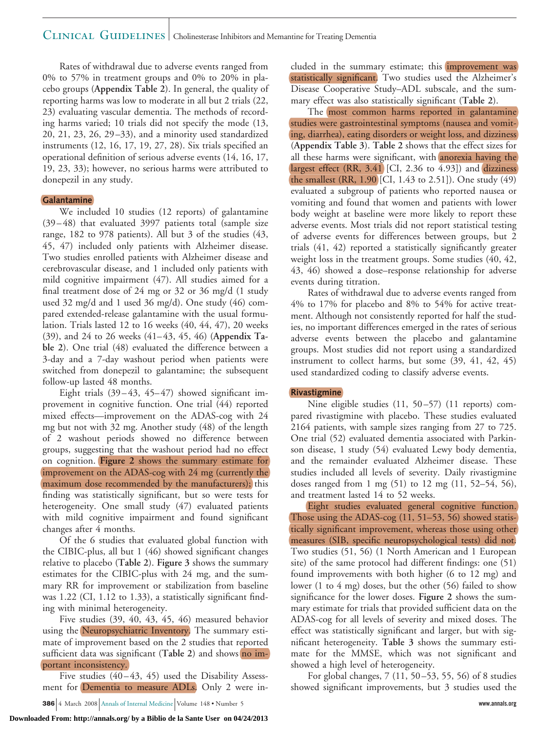# CLINICAL GUIDELINES | Cholinesterase Inhibitors and Memantine for Treating Dementia

Rates of withdrawal due to adverse events ranged from 0% to 57% in treatment groups and 0% to 20% in placebo groups (**Appendix Table 2**). In general, the quality of reporting harms was low to moderate in all but 2 trials (22, 23) evaluating vascular dementia. The methods of recording harms varied; 10 trials did not specify the mode (13, 20, 21, 23, 26, 29 –33), and a minority used standardized instruments (12, 16, 17, 19, 27, 28). Six trials specified an operational definition of serious adverse events (14, 16, 17, 19, 23, 33); however, no serious harms were attributed to donepezil in any study.

#### **Galantamine**

We included 10 studies (12 reports) of galantamine (39 – 48) that evaluated 3997 patients total (sample size range, 182 to 978 patients). All but 3 of the studies (43, 45, 47) included only patients with Alzheimer disease. Two studies enrolled patients with Alzheimer disease and cerebrovascular disease, and 1 included only patients with mild cognitive impairment (47). All studies aimed for a final treatment dose of 24 mg or 32 or 36 mg/d (1 study used 32 mg/d and 1 used 36 mg/d). One study (46) compared extended-release galantamine with the usual formulation. Trials lasted 12 to 16 weeks (40, 44, 47), 20 weeks (39), and 24 to 26 weeks (41– 43, 45, 46) (**Appendix Table 2**). One trial (48) evaluated the difference between a 3-day and a 7-day washout period when patients were switched from donepezil to galantamine; the subsequent follow-up lasted 48 months.

Eight trials  $(39-43, 45-47)$  showed significant improvement in cognitive function. One trial (44) reported mixed effects—improvement on the ADAS-cog with 24 mg but not with 32 mg. Another study (48) of the length of 2 washout periods showed no difference between groups, suggesting that the washout period had no effect on cognition. **Figure 2** shows the summary estimate for improvement on the ADAS-cog with 24 mg (currently the maximum dose recommended by the manufacturers); this finding was statistically significant, but so were tests for heterogeneity. One small study (47) evaluated patients with mild cognitive impairment and found significant changes after 4 months.

Of the 6 studies that evaluated global function with the CIBIC-plus, all but 1 (46) showed significant changes relative to placebo (**Table 2**). **Figure 3** shows the summary estimates for the CIBIC-plus with 24 mg, and the summary RR for improvement or stabilization from baseline was 1.22 (CI, 1.12 to 1.33), a statistically significant finding with minimal heterogeneity.

Five studies (39, 40, 43, 45, 46) measured behavior using the Neuropsychiatric Inventory. The summary estimate of improvement based on the 2 studies that reported sufficient data was significant (Table 2) and shows no important inconsistency.

Five studies  $(40-43, 45)$  used the Disability Assessment for Dementia to measure ADLs. Only 2 were in-

**386** 4 March 2008 Annals of Internal Medicine Volume 148 • Number 5 *www.annals.org* 

cluded in the summary estimate; this *improvement was* statistically significant. Two studies used the Alzheimer's Disease Cooperative Study–ADL subscale, and the summary effect was also statistically significant (**Table 2**).

The most common harms reported in galantamine studies were gastrointestinal symptoms (nausea and vomiting, diarrhea), eating disorders or weight loss, and dizziness (**Appendix Table 3**). **Table 2** shows that the effect sizes for all these harms were significant, with anorexia having the largest effect (RR, 3.41 [CI, 2.36 to 4.93]) and dizziness the smallest (RR, 1.90 [CI, 1.43 to 2.51]). One study (49) evaluated a subgroup of patients who reported nausea or vomiting and found that women and patients with lower body weight at baseline were more likely to report these adverse events. Most trials did not report statistical testing of adverse events for differences between groups, but 2 trials (41, 42) reported a statistically significantly greater weight loss in the treatment groups. Some studies (40, 42, 43, 46) showed a dose–response relationship for adverse events during titration.

Rates of withdrawal due to adverse events ranged from 4% to 17% for placebo and 8% to 54% for active treatment. Although not consistently reported for half the studies, no important differences emerged in the rates of serious adverse events between the placebo and galantamine groups. Most studies did not report using a standardized instrument to collect harms, but some (39, 41, 42, 45) used standardized coding to classify adverse events.

#### **Rivastigmine**

Nine eligible studies (11, 50–57) (11 reports) compared rivastigmine with placebo. These studies evaluated 2164 patients, with sample sizes ranging from 27 to 725. One trial (52) evaluated dementia associated with Parkinson disease, 1 study (54) evaluated Lewy body dementia, and the remainder evaluated Alzheimer disease. These studies included all levels of severity. Daily rivastigmine doses ranged from 1 mg (51) to 12 mg (11, 52–54, 56), and treatment lasted 14 to 52 weeks.

Eight studies evaluated general cognitive function. Those using the ADAS-cog (11, 51–53, 56) showed statistically significant improvement, whereas those using other measures (SIB, specific neuropsychological tests) did not. Two studies (51, 56) (1 North American and 1 European site) of the same protocol had different findings: one (51) found improvements with both higher (6 to 12 mg) and lower (1 to 4 mg) doses, but the other (56) failed to show significance for the lower doses. **Figure 2** shows the summary estimate for trials that provided sufficient data on the ADAS-cog for all levels of severity and mixed doses. The effect was statistically significant and larger, but with significant heterogeneity. **Table 3** shows the summary estimate for the MMSE, which was not significant and showed a high level of heterogeneity.

For global changes, 7 (11, 50 –53, 55, 56) of 8 studies showed significant improvements, but 3 studies used the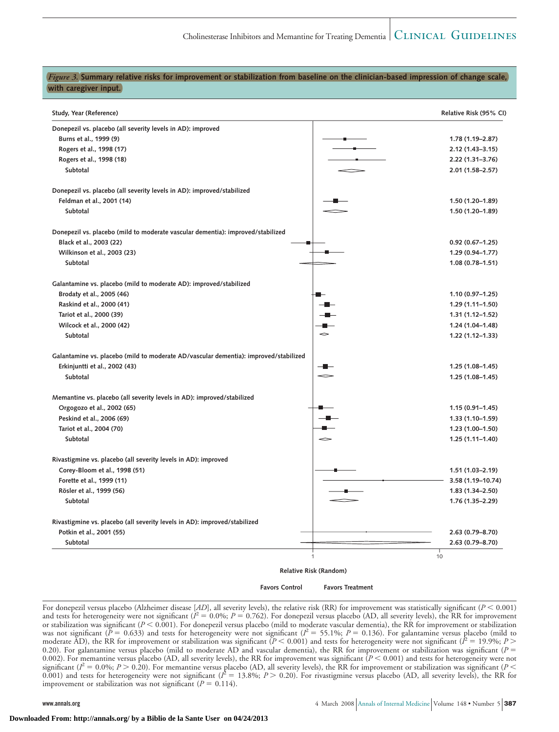*Figure 3.* **Summary relative risks for improvement or stabilization from baseline on the clinician-based impression of change scale, with caregiver input.**

| Study, Year (Reference)                                                              |                          | Relative Risk (95% CI) |
|--------------------------------------------------------------------------------------|--------------------------|------------------------|
| Donepezil vs. placebo (all severity levels in AD): improved                          |                          |                        |
| Burns et al., 1999 (9)                                                               |                          | 1.78 (1.19-2.87)       |
| Rogers et al., 1998 (17)                                                             | $\overline{\phantom{a}}$ | $2.12(1.43 - 3.15)$    |
| Rogers et al., 1998 (18)                                                             |                          | 2.22 (1.31-3.76)       |
| Subtotal                                                                             |                          | 2.01 (1.58-2.57)       |
| Donepezil vs. placebo (all severity levels in AD): improved/stabilized               |                          |                        |
| Feldman et al., 2001 (14)                                                            |                          | 1.50 (1.20-1.89)       |
| Subtotal                                                                             |                          | 1.50 (1.20-1.89)       |
| Donepezil vs. placebo (mild to moderate vascular dementia): improved/stabilized      |                          |                        |
| Black et al., 2003 (22)                                                              | u.                       | $0.92(0.67 - 1.25)$    |
| Wilkinson et al., 2003 (23)                                                          |                          | 1.29 (0.94-1.77)       |
| Subtotal                                                                             |                          | $1.08(0.78 - 1.51)$    |
| Galantamine vs. placebo (mild to moderate AD): improved/stabilized                   |                          |                        |
| Brodaty et al., 2005 (46)                                                            |                          | 1.10 (0.97-1.25)       |
| Raskind et al., 2000 (41)                                                            | $ -$                     | $1.29(1.11 - 1.50)$    |
| Tariot et al., 2000 (39)                                                             | $ -$                     | $1.31(1.12 - 1.52)$    |
| Wilcock et al., 2000 (42)                                                            | - ⊞                      | 1.24 (1.04-1.48)       |
| Subtotal                                                                             | $\dot{\,}$               | $1.22(1.12 - 1.33)$    |
| Galantamine vs. placebo (mild to moderate AD/vascular dementia): improved/stabilized |                          |                        |
| Erkinjuntti et al., 2002 (43)                                                        | --                       | 1.25 (1.08-1.45)       |
| Subtotal                                                                             | ~                        | $1.25(1.08 - 1.45)$    |
| Memantine vs. placebo (all severity levels in AD): improved/stabilized               |                          |                        |
| Orgogozo et al., 2002 (65)                                                           |                          | $1.15(0.91 - 1.45)$    |
| Peskind et al., 2006 (69)                                                            | — <b>—</b>               | 1.33 (1.10-1.59)       |
| Tariot et al., 2004 (70)                                                             | $\blacksquare$           | $1.23(1.00-1.50)$      |
| Subtotal                                                                             | $\tilde{}$               | $1.25(1.11 - 1.40)$    |
| Rivastigmine vs. placebo (all severity levels in AD): improved                       |                          |                        |
| Corey-Bloom et al., 1998 (51)                                                        |                          | 1.51 (1.03-2.19)       |
| Forette et al., 1999 (11)                                                            |                          | 3.58 (1.19-10.74)      |
| Rösler et al., 1999 (56)                                                             |                          | $1.83(1.34 - 2.50)$    |
| Subtotal                                                                             |                          | 1.76 (1.35–2.29)       |
| Rivastigmine vs. placebo (all severity levels in AD): improved/stabilized            |                          |                        |
| Potkin et al., 2001 (55)                                                             |                          | 2.63 (0.79-8.70)       |
| Subtotal                                                                             |                          | 2.63 (0.79-8.70)       |
|                                                                                      | 1                        | 10                     |

**Relative Risk (Random )** 

**Favors Control Favors Treatment** 

For donepezil versus placebo (Alzheimer disease [*AD*], all severity levels), the relative risk (RR) for improvement was statistically significant (*P* - 0.001) and tests for heterogeneity were not significant ( $\dot{l}^2 = 0.0\%$ ;  $P = 0.762$ ). For donepezil versus placebo (AD, all severity levels), the RR for improvement or stabilization was significant (*P* < 0.001). For donepezil versus placebo (mild to moderate vascular dementia), the RR for improvement or stabilization was not significant ( $\overline{P}$  = 0.633) and tests for heterogeneity were not significant ( $I^2$  = 55.1%;  $P$  = 0.136). For galantamine versus placebo (mild to moderate AD), the RR for improvement or stabilization was significant ( $P < 0.001$ ) and tests for heterogeneity were not significant ( $\dot{P} = 19.9\%$ ;  $P > 0.001$ 0.20). For galantamine versus placebo (mild to moderate AD and vascular dementia), the RR for improvement or stabilization was significant (*P*  $0.002$ ). For memantine versus placebo (AD, all severity levels), the RR for improvement was significant ( $P < 0.001$ ) and tests for heterogeneity were not significant ( $l^2 = 0.0\%$ ;  $P > 0.20$ ). For memantine versus placebo (AD, all severity levels), the RR for improvement or stabilization was significant ( $P < 0.001$ ) and tests for heterogeneity were not significant ( $l^2 = 1$ improvement or stabilization was not significant ( $P = 0.114$ ).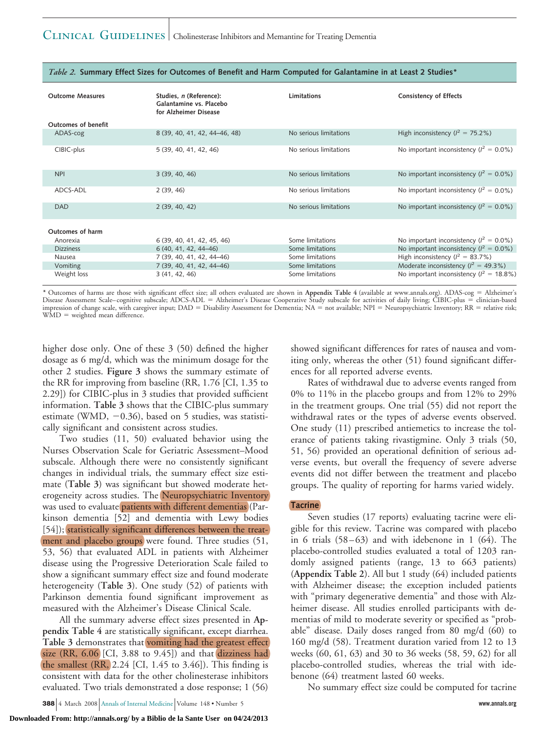| <b>Outcome Measures</b> | Studies, n (Reference):<br>Galantamine vs. Placebo<br>for Alzheimer Disease | Limitations            | Consistency of Effects                        |
|-------------------------|-----------------------------------------------------------------------------|------------------------|-----------------------------------------------|
| Outcomes of benefit     |                                                                             |                        |                                               |
| ADAS-cog                | 8 (39, 40, 41, 42, 44-46, 48)                                               | No serious limitations | High inconsistency ( $l^2 = 75.2\%$ )         |
| CIBIC-plus              | 5 (39, 40, 41, 42, 46)                                                      | No serious limitations | No important inconsistency ( $l^2 = 0.0\%$ )  |
| <b>NPI</b>              | 3(39, 40, 46)                                                               | No serious limitations | No important inconsistency ( $l^2 = 0.0\%$ )  |
| ADCS-ADL                | 2(39, 46)                                                                   | No serious limitations | No important inconsistency ( $l^2 = 0.0\%$ )  |
| <b>DAD</b>              | 2(39, 40, 42)                                                               | No serious limitations | No important inconsistency ( $l^2 = 0.0\%$ )  |
| Outcomes of harm        |                                                                             |                        |                                               |
| Anorexia                | 6 (39, 40, 41, 42, 45, 46)                                                  | Some limitations       | No important inconsistency ( $l^2 = 0.0\%$ )  |
| <b>Dizziness</b>        | $6(40, 41, 42, 44-46)$                                                      | Some limitations       | No important inconsistency ( $l^2 = 0.0\%$ )  |
| Nausea                  | 7 (39, 40, 41, 42, 44-46)                                                   | Some limitations       | High inconsistency ( $l^2 = 83.7\%$ )         |
| Vomiting                | 7 (39, 40, 41, 42, 44-46)                                                   | Some limitations       | Moderate inconsistency ( $l^2 = 49.3\%$ )     |
| Weight loss             | 3(41, 42, 46)                                                               | Some limitations       | No important inconsistency ( $l^2 = 18.8\%$ ) |

#### *Table 2.* **Summary Effect Sizes for Outcomes of Benefit and Harm Computed for Galantamine in at Least 2 Studies\***

\* Outcomes of harms are those with significant effect size; all others evaluated are shown in **Appendix Table 4** (available at www.annals.org). ADAS-cog Alzheimer's Disease Assessment Scale– cognitive subscale; ADCS-ADL Alzheimer's Disease Cooperative Study subscale for activities of daily living; CIBIC-plus clinician-based impression of change scale, with caregiver input; DAD = Disability Assessment for Dementia; NA = not available; NPI = Neuropsychiatric Inventory; RR = relative risk;  $WMD = weighted$  mean difference.

higher dose only. One of these 3 (50) defined the higher dosage as 6 mg/d, which was the minimum dosage for the other 2 studies. **Figure 3** shows the summary estimate of the RR for improving from baseline (RR, 1.76 [CI, 1.35 to 2.29]) for CIBIC-plus in 3 studies that provided sufficient information. **Table 3** shows that the CIBIC-plus summary estimate (WMD,  $-0.36$ ), based on 5 studies, was statistically significant and consistent across studies.

Two studies (11, 50) evaluated behavior using the Nurses Observation Scale for Geriatric Assessment–Mood subscale. Although there were no consistently significant changes in individual trials, the summary effect size estimate (**Table 3**) was significant but showed moderate heterogeneity across studies. The Neuropsychiatric Inventory was used to evaluate patients with different dementias (Parkinson dementia [52] and dementia with Lewy bodies [54]); statistically significant differences between the treatment and placebo groups were found. Three studies (51, 53, 56) that evaluated ADL in patients with Alzheimer disease using the Progressive Deterioration Scale failed to show a significant summary effect size and found moderate heterogeneity (**Table 3**). One study (52) of patients with Parkinson dementia found significant improvement as measured with the Alzheimer's Disease Clinical Scale.

All the summary adverse effect sizes presented in **Appendix Table 4** are statistically significant, except diarrhea. **Table 3** demonstrates that vomiting had the greatest effect size  $(RR, 6.06$  [CI, 3.88 to 9.45]) and that dizziness had the smallest  $(RR, 2.24$  [CI, 1.45 to 3.46]). This finding is consistent with data for the other cholinesterase inhibitors evaluated. Two trials demonstrated a dose response; 1 (56)

**388** 4 March 2008 Annals of Internal Medicine Volume 148 • Number 5 *www.annals.org* 

**Downloaded From: http://annals.org/ by a Biblio de la Sante User on 04/24/2013**

showed significant differences for rates of nausea and vomiting only, whereas the other (51) found significant differences for all reported adverse events.

Rates of withdrawal due to adverse events ranged from 0% to 11% in the placebo groups and from 12% to 29% in the treatment groups. One trial (55) did not report the withdrawal rates or the types of adverse events observed. One study (11) prescribed antiemetics to increase the tolerance of patients taking rivastigmine. Only 3 trials (50, 51, 56) provided an operational definition of serious adverse events, but overall the frequency of severe adverse events did not differ between the treatment and placebo groups. The quality of reporting for harms varied widely.

#### **Tacrine**

Seven studies (17 reports) evaluating tacrine were eligible for this review. Tacrine was compared with placebo in 6 trials  $(58-63)$  and with idebenone in 1  $(64)$ . The placebo-controlled studies evaluated a total of 1203 randomly assigned patients (range, 13 to 663 patients) (**Appendix Table 2**). All but 1 study (64) included patients with Alzheimer disease; the exception included patients with "primary degenerative dementia" and those with Alzheimer disease. All studies enrolled participants with dementias of mild to moderate severity or specified as "probable" disease. Daily doses ranged from 80 mg/d (60) to 160 mg/d (58). Treatment duration varied from 12 to 13 weeks (60, 61, 63) and 30 to 36 weeks (58, 59, 62) for all placebo-controlled studies, whereas the trial with idebenone (64) treatment lasted 60 weeks.

No summary effect size could be computed for tacrine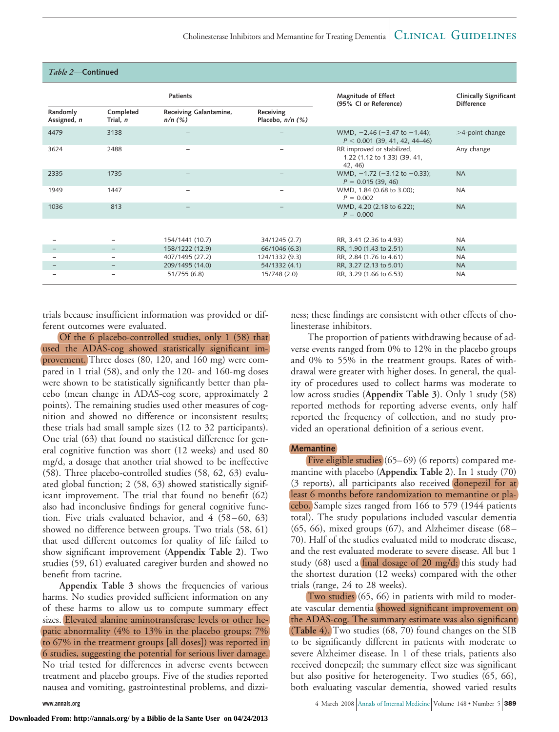#### *Table 2—***Continued**

|                         |                       | <b>Patients</b>                     |                                 | Magnitude of Effect<br>(95% CI or Reference)                            | <b>Clinically Significant</b><br><b>Difference</b> |
|-------------------------|-----------------------|-------------------------------------|---------------------------------|-------------------------------------------------------------------------|----------------------------------------------------|
| Randomly<br>Assigned, n | Completed<br>Trial, n | Receiving Galantamine,<br>$n/n$ (%) | Receiving<br>Placebo, $n/n$ (%) |                                                                         |                                                    |
| 4479                    | 3138                  |                                     |                                 | WMD, $-2.46$ ( $-3.47$ to $-1.44$ );<br>$P < 0.001$ (39, 41, 42, 44–46) | $>4$ -point change                                 |
| 3624                    | 2488                  | -                                   |                                 | RR improved or stabilized,<br>1.22 (1.12 to 1.33) (39, 41,<br>42, 46    | Any change                                         |
| 2335                    | 1735                  |                                     |                                 | WMD, $-1.72$ ( $-3.12$ to $-0.33$ );<br>$P = 0.015(39, 46)$             | <b>NA</b>                                          |
| 1949                    | 1447                  |                                     |                                 | WMD, 1.84 (0.68 to 3.00);<br>$P = 0.002$                                | <b>NA</b>                                          |
| 1036                    | 813                   | -                                   |                                 | WMD, 4.20 (2.18 to 6.22);<br>$P = 0.000$                                | <b>NA</b>                                          |
|                         |                       |                                     |                                 |                                                                         |                                                    |
|                         |                       | 154/1441 (10.7)                     | 34/1245 (2.7)                   | RR, 3.41 (2.36 to 4.93)                                                 | <b>NA</b>                                          |
|                         |                       | 158/1222 (12.9)                     | 66/1046 (6.3)                   | RR, 1.90 (1.43 to 2.51)                                                 | <b>NA</b>                                          |
|                         |                       | 407/1495 (27.2)                     | 124/1332 (9.3)                  | RR, 2.84 (1.76 to 4.61)                                                 | <b>NA</b>                                          |
|                         |                       | 209/1495 (14.0)                     | 54/1332 (4.1)                   | RR, 3.27 (2.13 to 5.01)                                                 | <b>NA</b>                                          |
|                         |                       | 51/755 (6.8)                        | 15/748 (2.0)                    | RR, 3.29 (1.66 to 6.53)                                                 | <b>NA</b>                                          |

trials because insufficient information was provided or different outcomes were evaluated.

Of the 6 placebo-controlled studies, only 1 (58) that used the ADAS-cog showed statistically significant improvement. Three doses (80, 120, and 160 mg) were compared in 1 trial (58), and only the 120- and 160-mg doses were shown to be statistically significantly better than placebo (mean change in ADAS-cog score, approximately 2 points). The remaining studies used other measures of cognition and showed no difference or inconsistent results; these trials had small sample sizes (12 to 32 participants). One trial (63) that found no statistical difference for general cognitive function was short (12 weeks) and used 80 mg/d, a dosage that another trial showed to be ineffective (58). Three placebo-controlled studies (58, 62, 63) evaluated global function; 2 (58, 63) showed statistically significant improvement. The trial that found no benefit (62) also had inconclusive findings for general cognitive function. Five trials evaluated behavior, and  $4$   $(58-60, 63)$ showed no difference between groups. Two trials (58, 61) that used different outcomes for quality of life failed to show significant improvement (**Appendix Table 2**). Two studies (59, 61) evaluated caregiver burden and showed no benefit from tacrine.

**Appendix Table 3** shows the frequencies of various harms. No studies provided sufficient information on any of these harms to allow us to compute summary effect sizes. Elevated alanine aminotransferase levels or other hepatic abnormality (4% to 13% in the placebo groups; 7% to 67% in the treatment groups [all doses]) was reported in 6 studies, suggesting the potential for serious liver damage. No trial tested for differences in adverse events between treatment and placebo groups. Five of the studies reported nausea and vomiting, gastrointestinal problems, and dizziness; these findings are consistent with other effects of cholinesterase inhibitors.

The proportion of patients withdrawing because of adverse events ranged from 0% to 12% in the placebo groups and 0% to 55% in the treatment groups. Rates of withdrawal were greater with higher doses. In general, the quality of procedures used to collect harms was moderate to low across studies (**Appendix Table 3**). Only 1 study (58) reported methods for reporting adverse events, only half reported the frequency of collection, and no study provided an operational definition of a serious event.

### **Memantine**

Five eligible studies (65–69) (6 reports) compared memantine with placebo (**Appendix Table 2**). In 1 study (70) (3 reports), all participants also received donepezil for at least 6 months before randomization to memantine or placebo. Sample sizes ranged from 166 to 579 (1944 patients total). The study populations included vascular dementia (65, 66), mixed groups (67), and Alzheimer disease (68 – 70). Half of the studies evaluated mild to moderate disease, and the rest evaluated moderate to severe disease. All but 1 study (68) used a final dosage of 20 mg/d; this study had the shortest duration (12 weeks) compared with the other trials (range, 24 to 28 weeks).

Two studies (65, 66) in patients with mild to moderate vascular dementia showed significant improvement on the ADAS-cog. The summary estimate was also significant (**Table 4**). Two studies (68, 70) found changes on the SIB to be significantly different in patients with moderate to severe Alzheimer disease. In 1 of these trials, patients also received donepezil; the summary effect size was significant but also positive for heterogeneity. Two studies (65, 66), both evaluating vascular dementia, showed varied results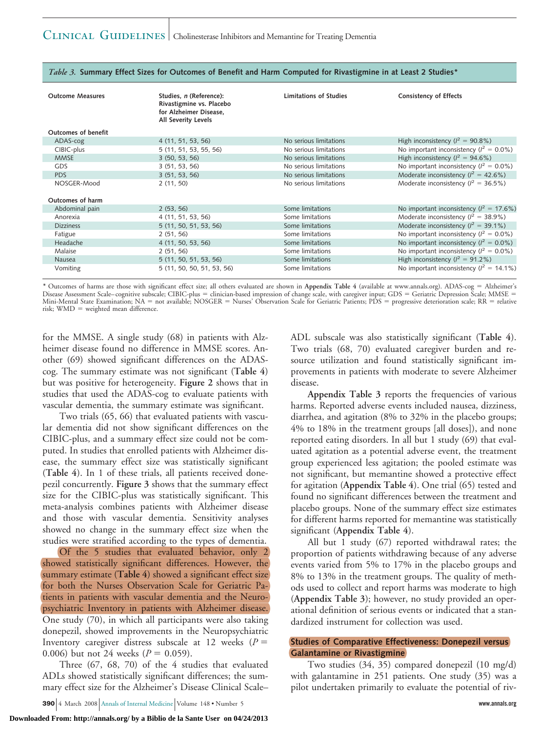| <b>Outcome Measures</b> | Studies, n (Reference):<br>Rivastigmine vs. Placebo<br>for Alzheimer Disease.<br><b>All Severity Levels</b> | <b>Limitations of Studies</b> | Consistency of Effects                        |
|-------------------------|-------------------------------------------------------------------------------------------------------------|-------------------------------|-----------------------------------------------|
| Outcomes of benefit     |                                                                                                             |                               |                                               |
| ADAS-cog                | 4 (11, 51, 53, 56)                                                                                          | No serious limitations        | High inconsistency ( $l^2 = 90.8\%$ )         |
| CIBIC-plus              | 5 (11, 51, 53, 55, 56)                                                                                      | No serious limitations        | No important inconsistency ( $l^2 = 0.0\%$ )  |
| <b>MMSE</b>             | 3(50, 53, 56)                                                                                               | No serious limitations        | High inconsistency ( $l^2 = 94.6\%$ )         |
| <b>GDS</b>              | 3(51, 53, 56)                                                                                               | No serious limitations        | No important inconsistency ( $l^2 = 0.0\%$ )  |
| <b>PDS</b>              | 3(51, 53, 56)                                                                                               | No serious limitations        | Moderate inconsistency ( $l^2 = 42.6\%$ )     |
| NOSGER-Mood             | 2(11, 50)                                                                                                   | No serious limitations        | Moderate inconsistency ( $l^2 = 36.5\%$ )     |
| Outcomes of harm        |                                                                                                             |                               |                                               |
| Abdominal pain          | 2(53, 56)                                                                                                   | Some limitations              | No important inconsistency ( $l^2 = 17.6\%$ ) |
| Anorexia                | 4 (11, 51, 53, 56)                                                                                          | Some limitations              | Moderate inconsistency ( $l^2 = 38.9\%$ )     |
| <b>Dizziness</b>        | 5 (11, 50, 51, 53, 56)                                                                                      | Some limitations              | Moderate inconsistency ( $l^2 = 39.1\%$ )     |
| Fatigue                 | 2(51, 56)                                                                                                   | Some limitations              | No important inconsistency ( $l^2 = 0.0\%$ )  |
| Headache                | 4 (11, 50, 53, 56)                                                                                          | Some limitations              | No important inconsistency ( $l^2 = 0.0\%$ )  |
| Malaise                 | 2(51, 56)                                                                                                   | Some limitations              | No important inconsistency ( $l^2 = 0.0\%$ )  |
| Nausea                  | 5 (11, 50, 51, 53, 56)                                                                                      | Some limitations              | High inconsistency ( $l^2 = 91.2\%$ )         |
| Vomiting                | 5 (11, 50, 50, 51, 53, 56)                                                                                  | Some limitations              | No important inconsistency ( $l^2 = 14.1\%$ ) |

*Table 3.* **Summary Effect Sizes for Outcomes of Benefit and Harm Computed for Rivastigmine in at Least 2 Studies\***

\* Outcomes of harms are those with significant effect size; all others evaluated are shown in **Appendix Table 4** (available at www.annals.org). ADAS-cog Alzheimer's Disease Assessment Scale– cognitive subscale; CIBIC-plus = clinician-based impression of change scale, with caregiver input; GDS = Geriatric Depression Scale; MMSE = Mini-Mental State Examination; NA = not available; NOSGER = Nurses' Observation Scale for Geriatric Patients; PDS = progressive deterioration scale; RR = relative risk;  $WMD = weighted mean difference$ .

for the MMSE. A single study (68) in patients with Alzheimer disease found no difference in MMSE scores. Another (69) showed significant differences on the ADAScog. The summary estimate was not significant (**Table 4**) but was positive for heterogeneity. **Figure 2** shows that in studies that used the ADAS-cog to evaluate patients with vascular dementia, the summary estimate was significant.

Two trials (65, 66) that evaluated patients with vascular dementia did not show significant differences on the CIBIC-plus, and a summary effect size could not be computed. In studies that enrolled patients with Alzheimer disease, the summary effect size was statistically significant (**Table 4**). In 1 of these trials, all patients received donepezil concurrently. **Figure 3** shows that the summary effect size for the CIBIC-plus was statistically significant. This meta-analysis combines patients with Alzheimer disease and those with vascular dementia. Sensitivity analyses showed no change in the summary effect size when the studies were stratified according to the types of dementia.

Of the 5 studies that evaluated behavior, only 2 showed statistically significant differences. However, the summary estimate (**Table 4**) showed a significant effect size for both the Nurses Observation Scale for Geriatric Patients in patients with vascular dementia and the Neuropsychiatric Inventory in patients with Alzheimer disease. One study (70), in which all participants were also taking donepezil, showed improvements in the Neuropsychiatric Inventory caregiver distress subscale at 12 weeks  $(P =$ 0.006) but not 24 weeks  $(P = 0.059)$ .

Three (67, 68, 70) of the 4 studies that evaluated ADLs showed statistically significant differences; the summary effect size for the Alzheimer's Disease Clinical Scale–

ADL subscale was also statistically significant (**Table 4**). Two trials (68, 70) evaluated caregiver burden and resource utilization and found statistically significant improvements in patients with moderate to severe Alzheimer disease.

**Appendix Table 3** reports the frequencies of various harms. Reported adverse events included nausea, dizziness, diarrhea, and agitation (8% to 32% in the placebo groups; 4% to 18% in the treatment groups [all doses]), and none reported eating disorders. In all but 1 study (69) that evaluated agitation as a potential adverse event, the treatment group experienced less agitation; the pooled estimate was not significant, but memantine showed a protective effect for agitation (**Appendix Table 4**). One trial (65) tested and found no significant differences between the treatment and placebo groups. None of the summary effect size estimates for different harms reported for memantine was statistically significant (**Appendix Table 4**).

All but 1 study (67) reported withdrawal rates; the proportion of patients withdrawing because of any adverse events varied from 5% to 17% in the placebo groups and 8% to 13% in the treatment groups. The quality of methods used to collect and report harms was moderate to high (**Appendix Table 3**); however, no study provided an operational definition of serious events or indicated that a standardized instrument for collection was used.

### **Studies of Comparative Effectiveness: Donepezil versus Galantamine or Rivastigmine**

Two studies (34, 35) compared donepezil (10 mg/d) with galantamine in 251 patients. One study (35) was a pilot undertaken primarily to evaluate the potential of riv-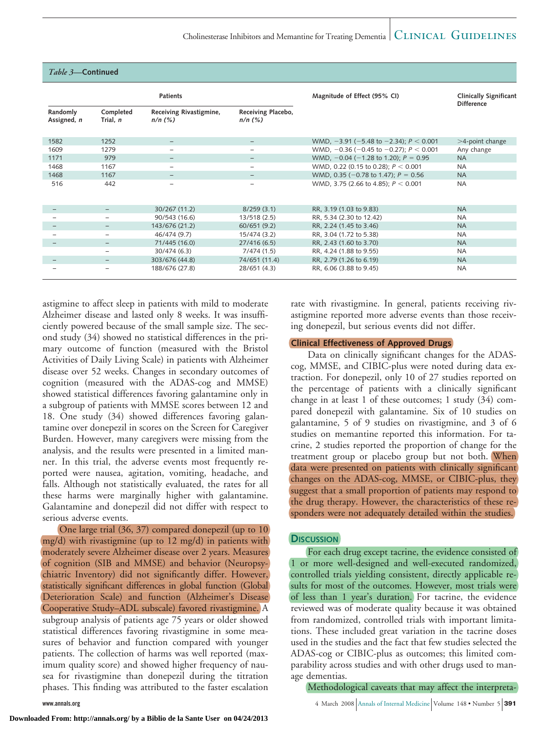| Table 3-Continued |  |  |  |
|-------------------|--|--|--|
|-------------------|--|--|--|

| <b>Patients</b>         |                              |                                      | Magnitude of Effect (95% CI)    | <b>Clinically Significant</b><br><b>Difference</b> |                 |
|-------------------------|------------------------------|--------------------------------------|---------------------------------|----------------------------------------------------|-----------------|
| Randomly<br>Assigned, n | Completed<br>Trial, <i>n</i> | Receiving Rivastigmine,<br>$n/n$ (%) | Receiving Placebo,<br>$n/n$ (%) |                                                    |                 |
| 1582                    | 1252                         | -                                    | $\overline{\phantom{0}}$        | WMD, $-3.91$ ( $-5.48$ to $-2.34$ ); $P < 0.001$   | >4-point change |
| 1609                    | 1279                         | -                                    | $\overline{\phantom{0}}$        | WMD, $-0.36$ ( $-0.45$ to $-0.27$ ); $P < 0.001$   | Any change      |
| 1171                    | 979                          |                                      |                                 | WMD, $-0.04$ ( $-1.28$ to 1.20); $P = 0.95$        | <b>NA</b>       |
| 1468                    | 1167                         | -                                    |                                 | WMD, 0.22 (0.15 to 0.28); $P < 0.001$              | <b>NA</b>       |
| 1468                    | 1167                         |                                      |                                 | WMD, 0.35 ( $-0.78$ to 1.47); $P = 0.56$           | <b>NA</b>       |
| 516                     | 442                          |                                      |                                 | WMD, 3.75 (2.66 to 4.85); $P < 0.001$              | <b>NA</b>       |
|                         |                              | 30/267 (11.2)                        | 8/259(3.1)                      | RR, 3.19 (1.03 to 9.83)                            | <b>NA</b>       |
|                         |                              | 90/543 (16.6)                        | 13/518 (2.5)                    | RR, 5.34 (2.30 to 12.42)                           | <b>NA</b>       |
|                         | -                            | 143/676 (21.2)                       | 60/651(9.2)                     | RR, 2.24 (1.45 to 3.46)                            | <b>NA</b>       |
|                         |                              | 46/474 (9.7)                         | 15/474 (3.2)                    | RR, 3.04 (1.72 to 5.38)                            | <b>NA</b>       |
|                         | $\overline{\phantom{0}}$     | 71/445 (16.0)                        | 27/416 (6.5)                    | RR, 2.43 (1.60 to 3.70)                            | <b>NA</b>       |
|                         | -                            | 30/474 (6.3)                         | 7/474(1.5)                      | RR, 4.24 (1.88 to 9.55)                            | <b>NA</b>       |
|                         |                              | 303/676 (44.8)                       | 74/651 (11.4)                   | RR, 2.79 (1.26 to 6.19)                            | <b>NA</b>       |
|                         |                              | 188/676 (27.8)                       | 28/651 (4.3)                    | RR, 6.06 (3.88 to 9.45)                            | <b>NA</b>       |

astigmine to affect sleep in patients with mild to moderate Alzheimer disease and lasted only 8 weeks. It was insufficiently powered because of the small sample size. The second study (34) showed no statistical differences in the primary outcome of function (measured with the Bristol Activities of Daily Living Scale) in patients with Alzheimer disease over 52 weeks. Changes in secondary outcomes of cognition (measured with the ADAS-cog and MMSE) showed statistical differences favoring galantamine only in a subgroup of patients with MMSE scores between 12 and 18. One study (34) showed differences favoring galantamine over donepezil in scores on the Screen for Caregiver Burden. However, many caregivers were missing from the analysis, and the results were presented in a limited manner. In this trial, the adverse events most frequently reported were nausea, agitation, vomiting, headache, and falls. Although not statistically evaluated, the rates for all these harms were marginally higher with galantamine. Galantamine and donepezil did not differ with respect to serious adverse events.

One large trial (36, 37) compared donepezil (up to 10 mg/d) with rivastigmine (up to 12 mg/d) in patients with moderately severe Alzheimer disease over 2 years. Measures of cognition (SIB and MMSE) and behavior (Neuropsychiatric Inventory) did not significantly differ. However, statistically significant differences in global function (Global Deterioration Scale) and function (Alzheimer's Disease Cooperative Study–ADL subscale) favored rivastigmine. A subgroup analysis of patients age 75 years or older showed statistical differences favoring rivastigmine in some measures of behavior and function compared with younger patients. The collection of harms was well reported (maximum quality score) and showed higher frequency of nausea for rivastigmine than donepezil during the titration phases. This finding was attributed to the faster escalation

rate with rivastigmine. In general, patients receiving rivastigmine reported more adverse events than those receiving donepezil, but serious events did not differ.

### **Clinical Effectiveness of Approved Drugs**

Data on clinically significant changes for the ADAScog, MMSE, and CIBIC-plus were noted during data extraction. For donepezil, only 10 of 27 studies reported on the percentage of patients with a clinically significant change in at least 1 of these outcomes; 1 study (34) compared donepezil with galantamine. Six of 10 studies on galantamine, 5 of 9 studies on rivastigmine, and 3 of 6 studies on memantine reported this information. For tacrine, 2 studies reported the proportion of change for the treatment group or placebo group but not both. When data were presented on patients with clinically significant changes on the ADAS-cog, MMSE, or CIBIC-plus, they suggest that a small proportion of patients may respond to the drug therapy. However, the characteristics of these responders were not adequately detailed within the studies.

#### **DISCUSSION**

For each drug except tacrine, the evidence consisted of 1 or more well-designed and well-executed randomized, controlled trials yielding consistent, directly applicable results for most of the outcomes. However, most trials were of less than 1 year's duration. For tacrine, the evidence reviewed was of moderate quality because it was obtained from randomized, controlled trials with important limitations. These included great variation in the tacrine doses used in the studies and the fact that few studies selected the ADAS-cog or CIBIC-plus as outcomes; this limited comparability across studies and with other drugs used to manage dementias.

Methodological caveats that may affect the interpreta-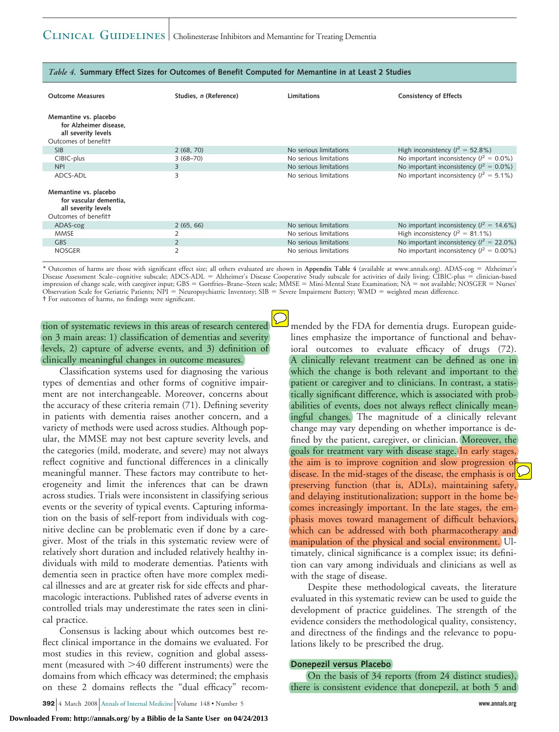| <i>Table 4.</i> Summary Effect Sizes for Outcomes of Benefit Computed for Memantine in at Least 2 Studies |  |
|-----------------------------------------------------------------------------------------------------------|--|
|-----------------------------------------------------------------------------------------------------------|--|

| <b>Outcome Measures</b>                                                                        | Studies, n (Reference) | Limitations            | Consistency of Effects                        |
|------------------------------------------------------------------------------------------------|------------------------|------------------------|-----------------------------------------------|
| Memantine vs. placebo<br>for Alzheimer disease.<br>all severity levels<br>Outcomes of benefitt |                        |                        |                                               |
| <b>SIB</b>                                                                                     | 2(68, 70)              | No serious limitations | High inconsistency ( $l^2 = 52.8\%$ )         |
| CIBIC-plus                                                                                     | $3(68 - 70)$           | No serious limitations | No important inconsistency ( $l^2 = 0.0\%$ )  |
| <b>NPI</b>                                                                                     | 3                      | No serious limitations | No important inconsistency ( $l^2 = 0.0\%$ )  |
| ADCS-ADL                                                                                       | 3                      | No serious limitations | No important inconsistency ( $l^2 = 5.1\%$ )  |
| Memantine vs. placebo<br>for vascular dementia.<br>all severity levels<br>Outcomes of benefitt |                        |                        |                                               |
| ADAS-cog                                                                                       | 2(65, 66)              | No serious limitations | No important inconsistency ( $l^2 = 14.6\%$ ) |
| <b>MMSE</b>                                                                                    |                        | No serious limitations | High inconsistency ( $l^2 = 81.1\%$ )         |
| <b>GBS</b>                                                                                     | $\overline{2}$         | No serious limitations | No important inconsistency ( $l^2 = 22.0\%$ ) |
| <b>NOSGER</b>                                                                                  | $\mathcal{P}$          | No serious limitations | No important inconsistency ( $l^2 = 0.00\%$ ) |

\* Outcomes of harms are those with significant effect size; all others evaluated are shown in **Appendix Table 4** (available at www.annals.org). ADAS-cog Alzheimer's Disease Assessment Scale– cognitive subscale; ADCS-ADL Alzheimer's Disease Cooperative Study subscale for activities of daily living; CIBIC-plus clinician-based impression of change scale, with caregiver input; GBS = Gottfries–Brane–Steen scale; MMSE = Mini-Mental State Examination; NA = not available; NOSGER = Nurses' Observation Scale for Geriatric Patients; NPI = Neuropsychiatric Inventory; SIB = Severe Impairment Battery; WMD = weighted mean difference. † For outcomes of harms, no findings were significant.

tion of systematic reviews in this areas of research centered on 3 main areas: 1) classification of dementias and severity levels, 2) capture of adverse events, and 3) definition of clinically meaningful changes in outcome measures.

Classification systems used for diagnosing the various types of dementias and other forms of cognitive impairment are not interchangeable. Moreover, concerns about the accuracy of these criteria remain (71). Defining severity in patients with dementia raises another concern, and a variety of methods were used across studies. Although popular, the MMSE may not best capture severity levels, and the categories (mild, moderate, and severe) may not always reflect cognitive and functional differences in a clinically meaningful manner. These factors may contribute to heterogeneity and limit the inferences that can be drawn across studies. Trials were inconsistent in classifying serious events or the severity of typical events. Capturing information on the basis of self-report from individuals with cognitive decline can be problematic even if done by a caregiver. Most of the trials in this systematic review were of relatively short duration and included relatively healthy individuals with mild to moderate dementias. Patients with dementia seen in practice often have more complex medical illnesses and are at greater risk for side effects and pharmacologic interactions. Published rates of adverse events in controlled trials may underestimate the rates seen in clinical practice.

Consensus is lacking about which outcomes best reflect clinical importance in the domains we evaluated. For most studies in this review, cognition and global assessment (measured with  $>40$  different instruments) were the domains from which efficacy was determined; the emphasis on these 2 domains reflects the "dual efficacy" recom-

**392** 4 March 2008 Annals of Internal Medicine Volume 148 • Number 5 **www.annals.org**

mended by the FDA for dementia drugs. European guidelines emphasize the importance of functional and behavioral outcomes to evaluate efficacy of drugs (72). A clinically relevant treatment can be defined as one in which the change is both relevant and important to the patient or caregiver and to clinicians. In contrast, a statistically significant difference, which is associated with probabilities of events, does not always reflect clinically meaningful changes. The magnitude of a clinically relevant change may vary depending on whether importance is defined by the patient, caregiver, or clinician. Moreover, the goals for treatment vary with disease stage. In early stages, the aim is to improve cognition and slow progression of disease. In the mid-stages of the disease, the emphasis is on preserving function (that is, ADLs), maintaining safety, and delaying institutionalization; support in the home becomes increasingly important. In the late stages, the emphasis moves toward management of difficult behaviors, which can be addressed with both pharmacotherapy and manipulation of the physical and social environment. Ultimately, clinical significance is a complex issue; its definition can vary among individuals and clinicians as well as with the stage of disease.

Despite these methodological caveats, the literature evaluated in this systematic review can be used to guide the development of practice guidelines. The strength of the evidence considers the methodological quality, consistency, and directness of the findings and the relevance to populations likely to be prescribed the drug.

#### **Donepezil versus Placebo**

On the basis of 34 reports (from 24 distinct studies), there is consistent evidence that donepezil, at both 5 and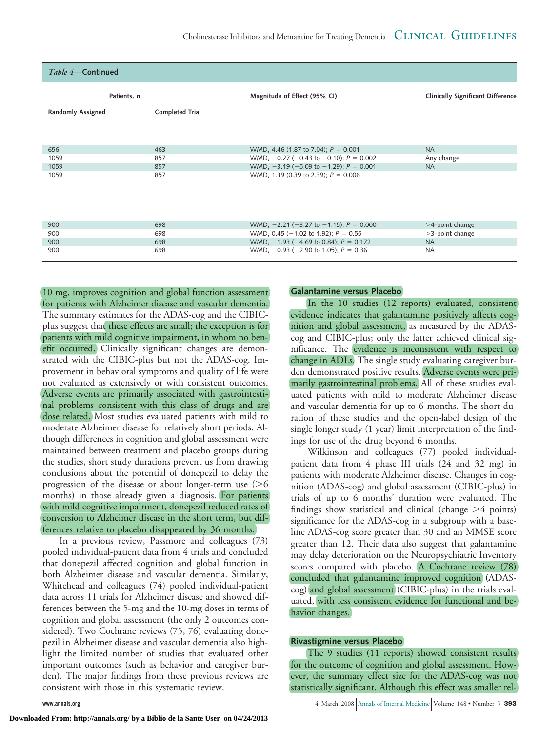| <i>Table</i> 4—Continued |                        |                                                  |                                   |  |  |
|--------------------------|------------------------|--------------------------------------------------|-----------------------------------|--|--|
| Patients, n              |                        | Magnitude of Effect (95% CI)                     | Clinically Significant Difference |  |  |
| Randomly Assigned        | <b>Completed Trial</b> |                                                  |                                   |  |  |
|                          |                        |                                                  |                                   |  |  |
| 656                      | 463                    | WMD, 4.46 (1.87 to 7.04); $P = 0.001$            | <b>NA</b>                         |  |  |
| 1059                     | 857                    | WMD, $-0.27$ ( $-0.43$ to $-0.10$ ); $P = 0.002$ | Any change                        |  |  |
| 1059                     | 857                    | WMD, $-3.19$ ( $-5.09$ to $-1.29$ ); $P = 0.001$ | <b>NA</b>                         |  |  |
| 1059                     | 857                    | WMD, 1.39 (0.39 to 2.39); $P = 0.006$            |                                   |  |  |
|                          |                        |                                                  |                                   |  |  |
|                          |                        |                                                  |                                   |  |  |
|                          |                        |                                                  |                                   |  |  |
|                          |                        |                                                  |                                   |  |  |
| 900                      | 698                    | WMD, $-2.21$ ( $-3.27$ to $-1.15$ ); $P = 0.000$ | $>4$ -point change                |  |  |
| 900                      | 698                    | WMD, 0.45 ( $-1.02$ to 1.92); $P = 0.55$         | $>$ 3-point change                |  |  |
| 900                      | 698                    | WMD, $-1.93$ ( $-4.69$ to 0.84); $P = 0.172$     | <b>NA</b>                         |  |  |
| 900                      | 698                    | WMD, $-0.93$ ( $-2.90$ to 1.05); $P = 0.36$      | <b>NA</b>                         |  |  |
|                          |                        |                                                  |                                   |  |  |

10 mg, improves cognition and global function assessment for patients with Alzheimer disease and vascular dementia. The summary estimates for the ADAS-cog and the CIBICplus suggest that these effects are small; the exception is for patients with mild cognitive impairment, in whom no benefit occurred. Clinically significant changes are demonstrated with the CIBIC-plus but not the ADAS-cog. Improvement in behavioral symptoms and quality of life were not evaluated as extensively or with consistent outcomes. Adverse events are primarily associated with gastrointestinal problems consistent with this class of drugs and are dose related. Most studies evaluated patients with mild to moderate Alzheimer disease for relatively short periods. Although differences in cognition and global assessment were maintained between treatment and placebo groups during the studies, short study durations prevent us from drawing conclusions about the potential of donepezil to delay the progression of the disease or about longer-term use  $(>6$ months) in those already given a diagnosis. For patients with mild cognitive impairment, donepezil reduced rates of conversion to Alzheimer disease in the short term, but differences relative to placebo disappeared by 36 months.

In a previous review, Passmore and colleagues (73) pooled individual-patient data from 4 trials and concluded that donepezil affected cognition and global function in both Alzheimer disease and vascular dementia. Similarly, Whitehead and colleagues (74) pooled individual-patient data across 11 trials for Alzheimer disease and showed differences between the 5-mg and the 10-mg doses in terms of cognition and global assessment (the only 2 outcomes considered). Two Cochrane reviews (75, 76) evaluating donepezil in Alzheimer disease and vascular dementia also highlight the limited number of studies that evaluated other important outcomes (such as behavior and caregiver burden). The major findings from these previous reviews are consistent with those in this systematic review.

#### **Galantamine versus Placebo**

In the 10 studies (12 reports) evaluated, consistent evidence indicates that galantamine positively affects cognition and global assessment, as measured by the ADAScog and CIBIC-plus; only the latter achieved clinical significance. The evidence is inconsistent with respect to change in ADLs. The single study evaluating caregiver burden demonstrated positive results. Adverse events were primarily gastrointestinal problems. All of these studies evaluated patients with mild to moderate Alzheimer disease and vascular dementia for up to 6 months. The short duration of these studies and the open-label design of the single longer study (1 year) limit interpretation of the findings for use of the drug beyond 6 months.

Wilkinson and colleagues (77) pooled individualpatient data from 4 phase III trials (24 and 32 mg) in patients with moderate Alzheimer disease. Changes in cognition (ADAS-cog) and global assessment (CIBIC-plus) in trials of up to 6 months' duration were evaluated. The findings show statistical and clinical (change  $>4$  points) significance for the ADAS-cog in a subgroup with a baseline ADAS-cog score greater than 30 and an MMSE score greater than 12. Their data also suggest that galantamine may delay deterioration on the Neuropsychiatric Inventory scores compared with placebo. A Cochrane review (78) concluded that galantamine improved cognition (ADAScog) and global assessment (CIBIC-plus) in the trials evaluated, with less consistent evidence for functional and behavior changes.

#### **Rivastigmine versus Placebo**

The 9 studies (11 reports) showed consistent results for the outcome of cognition and global assessment. However, the summary effect size for the ADAS-cog was not statistically significant. Although this effect was smaller rel-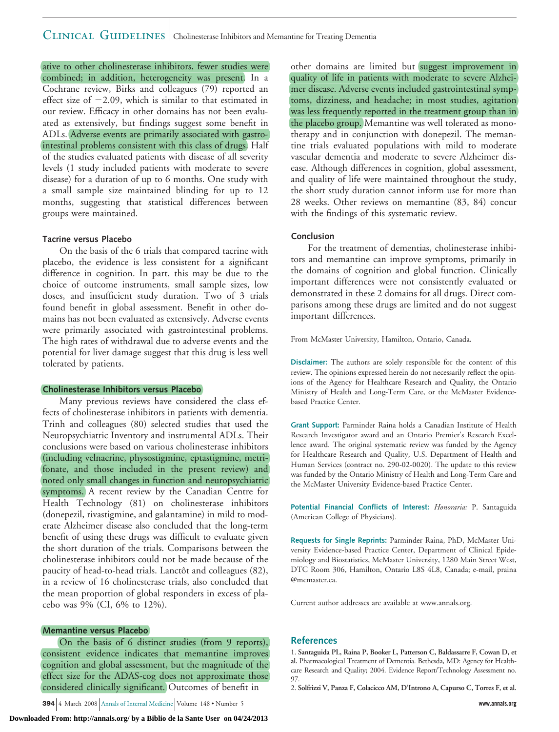ative to other cholinesterase inhibitors, fewer studies were combined; in addition, heterogeneity was present. In a Cochrane review, Birks and colleagues (79) reported an effect size of  $-2.09$ , which is similar to that estimated in our review. Efficacy in other domains has not been evaluated as extensively, but findings suggest some benefit in ADLs. Adverse events are primarily associated with gastrointestinal problems consistent with this class of drugs. Half of the studies evaluated patients with disease of all severity levels (1 study included patients with moderate to severe disease) for a duration of up to 6 months. One study with a small sample size maintained blinding for up to 12 months, suggesting that statistical differences between groups were maintained.

#### **Tacrine versus Placebo**

On the basis of the 6 trials that compared tacrine with placebo, the evidence is less consistent for a significant difference in cognition. In part, this may be due to the choice of outcome instruments, small sample sizes, low doses, and insufficient study duration. Two of 3 trials found benefit in global assessment. Benefit in other domains has not been evaluated as extensively. Adverse events were primarily associated with gastrointestinal problems. The high rates of withdrawal due to adverse events and the potential for liver damage suggest that this drug is less well tolerated by patients.

#### **Cholinesterase Inhibitors versus Placebo**

Many previous reviews have considered the class effects of cholinesterase inhibitors in patients with dementia. Trinh and colleagues (80) selected studies that used the Neuropsychiatric Inventory and instrumental ADLs. Their conclusions were based on various cholinesterase inhibitors (including velnacrine, physostigmine, eptastigmine, metrifonate, and those included in the present review) and noted only small changes in function and neuropsychiatric symptoms. A recent review by the Canadian Centre for Health Technology (81) on cholinesterase inhibitors (donepezil, rivastigmine, and galantamine) in mild to moderate Alzheimer disease also concluded that the long-term benefit of using these drugs was difficult to evaluate given the short duration of the trials. Comparisons between the cholinesterase inhibitors could not be made because of the paucity of head-to-head trials. Lanctôt and colleagues (82), in a review of 16 cholinesterase trials, also concluded that the mean proportion of global responders in excess of placebo was 9% (CI, 6% to 12%).

#### **Memantine versus Placebo**

On the basis of 6 distinct studies (from 9 reports), consistent evidence indicates that memantine improves cognition and global assessment, but the magnitude of the effect size for the ADAS-cog does not approximate those considered clinically significant. Outcomes of benefit in

**394** 4 March 2008 Annals of Internal Medicine Volume 148 • Number 5 **www.annals.org**

other domains are limited but suggest improvement in quality of life in patients with moderate to severe Alzheimer disease. Adverse events included gastrointestinal symptoms, dizziness, and headache; in most studies, agitation was less frequently reported in the treatment group than in the placebo group. Memantine was well tolerated as monotherapy and in conjunction with donepezil. The memantine trials evaluated populations with mild to moderate vascular dementia and moderate to severe Alzheimer disease. Although differences in cognition, global assessment, and quality of life were maintained throughout the study, the short study duration cannot inform use for more than 28 weeks. Other reviews on memantine (83, 84) concur with the findings of this systematic review.

#### **Conclusion**

For the treatment of dementias, cholinesterase inhibitors and memantine can improve symptoms, primarily in the domains of cognition and global function. Clinically important differences were not consistently evaluated or demonstrated in these 2 domains for all drugs. Direct comparisons among these drugs are limited and do not suggest important differences.

From McMaster University, Hamilton, Ontario, Canada.

**Disclaimer:** The authors are solely responsible for the content of this review. The opinions expressed herein do not necessarily reflect the opinions of the Agency for Healthcare Research and Quality, the Ontario Ministry of Health and Long-Term Care, or the McMaster Evidencebased Practice Center.

**Grant Support:** Parminder Raina holds a Canadian Institute of Health Research Investigator award and an Ontario Premier's Research Excellence award. The original systematic review was funded by the Agency for Healthcare Research and Quality, U.S. Department of Health and Human Services (contract no. 290-02-0020). The update to this review was funded by the Ontario Ministry of Health and Long-Term Care and the McMaster University Evidence-based Practice Center.

**Potential Financial Conflicts of Interest:** *Honoraria:* P. Santaguida (American College of Physicians).

**Requests for Single Reprints:** Parminder Raina, PhD, McMaster University Evidence-based Practice Center, Department of Clinical Epidemiology and Biostatistics, McMaster University, 1280 Main Street West, DTC Room 306, Hamilton, Ontario L8S 4L8, Canada; e-mail, praina @mcmaster.ca.

Current author addresses are available at www.annals.org.

#### **References**

1. **Santaguida PL, Raina P, Booker L, Patterson C, Baldassarre F, Cowan D, et al.** Pharmacological Treatment of Dementia. Bethesda, MD: Agency for Healthcare Research and Quality; 2004. Evidence Report/Technology Assessment no. 97.

2. **Solfrizzi V, Panza F, Colacicco AM, D'Introno A, Capurso C, Torres F, et al.**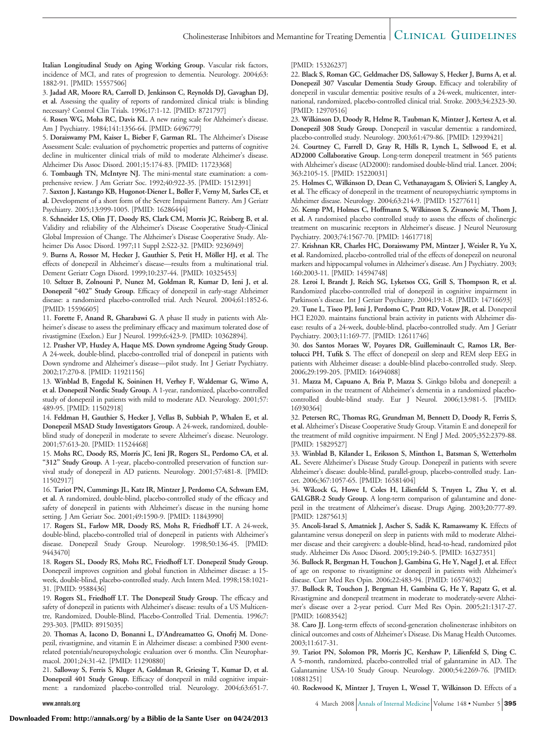**Italian Longitudinal Study on Aging Working Group.** Vascular risk factors, incidence of MCI, and rates of progression to dementia. Neurology. 2004;63: 1882-91. [PMID: 15557506]

3. **Jadad AR, Moore RA, Carroll D, Jenkinson C, Reynolds DJ, Gavaghan DJ, et al.** Assessing the quality of reports of randomized clinical trials: is blinding necessary? Control Clin Trials. 1996;17:1-12. [PMID: 8721797]

4. **Rosen WG, Mohs RC, Davis KL.** A new rating scale for Alzheimer's disease. Am J Psychiatry. 1984;141:1356-64. [PMID: 6496779]

5. **Doraiswamy PM, Kaiser L, Bieber F, Garman RL.** The Alzheimer's Disease Assessment Scale: evaluation of psychometric properties and patterns of cognitive decline in multicenter clinical trials of mild to moderate Alzheimer's disease. Alzheimer Dis Assoc Disord. 2001;15:174-83. [PMID: 11723368]

6. **Tombaugh TN, McIntyre NJ.** The mini-mental state examination: a comprehensive review. J Am Geriatr Soc. 1992;40:922-35. [PMID: 1512391]

7. **Saxton J, Kastango KB, Hugonot-Diener L, Boller F, Verny M, Sarles CE, et al.** Development of a short form of the Severe Impairment Battery. Am J Geriatr Psychiatry. 2005;13:999-1005. [PMID: 16286444]

8. **Schneider LS, Olin JT, Doody RS, Clark CM, Morris JC, Reisberg B, et al.** Validity and reliability of the Alzheimer's Disease Cooperative Study-Clinical Global Impression of Change. The Alzheimer's Disease Cooperative Study. Alzheimer Dis Assoc Disord. 1997;11 Suppl 2:S22-32. [PMID: 9236949]

9. Burns A, Rossor M, Hecker J, Gauthier S, Petit H, Möller HJ, et al. The effects of donepezil in Alzheimer's disease—results from a multinational trial. Dement Geriatr Cogn Disord. 1999;10:237-44. [PMID: 10325453]

10. **Seltzer B, Zolnouni P, Nunez M, Goldman R, Kumar D, Ieni J, et al. Donepezil "402" Study Group.** Efficacy of donepezil in early-stage Alzheimer disease: a randomized placebo-controlled trial. Arch Neurol. 2004;61:1852-6. [PMID: 15596605]

11. **Forette F, Anand R, Gharabawi G.** A phase II study in patients with Alzheimer's disease to assess the preliminary efficacy and maximum tolerated dose of rivastigmine (Exelon.) Eur J Neurol. 1999;6:423-9. [PMID: 10362894].

12. **Prasher VP, Huxley A, Haque MS. Down syndrome Ageing Study Group.** A 24-week, double-blind, placebo-controlled trial of donepezil in patients with Down syndrome and Alzheimer's disease—pilot study. Int J Geriatr Psychiatry. 2002;17:270-8. [PMID: 11921156]

13. **Winblad B, Engedal K, Soininen H, Verhey F, Waldemar G, Wimo A, et al. Donepezil Nordic Study Group.** A 1-year, randomized, placebo-controlled study of donepezil in patients with mild to moderate AD. Neurology. 2001;57: 489-95. [PMID: 11502918]

14. **Feldman H, Gauthier S, Hecker J, Vellas B, Subbiah P, Whalen E, et al. Donepezil MSAD Study Investigators Group.** A 24-week, randomized, doubleblind study of donepezil in moderate to severe Alzheimer's disease. Neurology. 2001;57:613-20. [PMID: 11524468]

15. **Mohs RC, Doody RS, Morris JC, Ieni JR, Rogers SL, Perdomo CA, et al. "312" Study Group.** A 1-year, placebo-controlled preservation of function survival study of donepezil in AD patients. Neurology. 2001;57:481-8. [PMID: 11502917]

16. **Tariot PN, Cummings JL, Katz IR, Mintzer J, Perdomo CA, Schwam EM, et al.** A randomized, double-blind, placebo-controlled study of the efficacy and safety of donepezil in patients with Alzheimer's disease in the nursing home setting. J Am Geriatr Soc. 2001;49:1590-9. [PMID: 11843990]

17. **Rogers SL, Farlow MR, Doody RS, Mohs R, Friedhoff LT.** A 24-week, double-blind, placebo-controlled trial of donepezil in patients with Alzheimer's disease. Donepezil Study Group. Neurology. 1998;50:136-45. [PMID: 9443470]

18. **Rogers SL, Doody RS, Mohs RC, Friedhoff LT. Donepezil Study Group.** Donepezil improves cognition and global function in Alzheimer disease: a 15 week, double-blind, placebo-controlled study. Arch Intern Med. 1998;158:1021- 31. [PMID: 9588436]

19. **Rogers SL, Friedhoff LT. The Donepezil Study Group.** The efficacy and safety of donepezil in patients with Alzheimer's disease: results of a US Multicentre, Randomized, Double-Blind, Placebo-Controlled Trial. Dementia. 1996;7: 293-303. [PMID: 8915035]

20. **Thomas A, Iacono D, Bonanni L, D'Andreamatteo G, Onofrj M.** Donepezil, rivastigmine, and vitamin E in Alzheimer disease: a combined P300 eventrelated potentials/neuropsychologic evaluation over 6 months. Clin Neuropharmacol. 2001;24:31-42. [PMID: 11290880]

21. **Salloway S, Ferris S, Kluger A, Goldman R, Griesing T, Kumar D, et al. Donepezil 401 Study Group.** Efficacy of donepezil in mild cognitive impairment: a randomized placebo-controlled trial. Neurology. 2004;63:651-7. [PMID: 15326237]

22. **Black S, Roman GC, Geldmacher DS, Salloway S, Hecker J, Burns A, et al. Donepezil 307 Vascular Dementia Study Group.** Efficacy and tolerability of donepezil in vascular dementia: positive results of a 24-week, multicenter, international, randomized, placebo-controlled clinical trial. Stroke. 2003;34:2323-30. [PMID: 12970516]

23. **Wilkinson D, Doody R, Helme R, Taubman K, Mintzer J, Kertesz A, et al. Donepezil 308 Study Group.** Donepezil in vascular dementia: a randomized, placebo-controlled study. Neurology. 2003;61:479-86. [PMID: 12939421]

24. **Courtney C, Farrell D, Gray R, Hills R, Lynch L, Sellwood E, et al. AD2000 Collaborative Group.** Long-term donepezil treatment in 565 patients with Alzheimer's disease (AD2000): randomised double-blind trial. Lancet. 2004; 363:2105-15. [PMID: 15220031]

25. **Holmes C, Wilkinson D, Dean C, Vethanayagam S, Olivieri S, Langley A, et al.** The efficacy of donepezil in the treatment of neuropsychiatric symptoms in Alzheimer disease. Neurology. 2004;63:214-9. [PMID: 15277611]

26. **Kemp PM, Holmes C, Hoffmann S, Wilkinson S, Zivanovic M, Thom J, et al.** A randomised placebo controlled study to assess the effects of cholinergic treatment on muscarinic receptors in Alzheimer's disease. J Neurol Neurosurg Psychiatry. 2003;74:1567-70. [PMID: 14617718]

27. **Krishnan KR, Charles HC, Doraiswamy PM, Mintzer J, Weisler R, Yu X, et al.** Randomized, placebo-controlled trial of the effects of donepezil on neuronal markers and hippocampal volumes in Alzheimer's disease. Am J Psychiatry. 2003; 160:2003-11. [PMID: 14594748]

28. **Leroi I, Brandt J, Reich SG, Lyketsos CG, Grill S, Thompson R, et al.** Randomized placebo-controlled trial of donepezil in cognitive impairment in Parkinson's disease. Int J Geriatr Psychiatry. 2004;19:1-8. [PMID: 14716693]

29. **Tune L, Tiseo PJ, Ieni J, Perdomo C, Pratt RD, Votaw JR, et al.** Donepezil HCl E2020. maintains functional brain activity in patients with Alzheimer disease: results of a 24-week, double-blind, placebo-controlled study. Am J Geriatr Psychiatry. 2003;11:169-77. [PMID: 12611746]

30. **dos Santos Moraes W, Poyares DR, Guilleminault C, Ramos LR, Bertolucci PH, Tufik S.** The effect of donepezil on sleep and REM sleep EEG in patients with Alzheimer disease: a double-blind placebo-controlled study. Sleep. 2006;29:199-205. [PMID: 16494088]

31. **Mazza M, Capuano A, Bria P, Mazza S.** Ginkgo biloba and donepezil: a comparison in the treatment of Alzheimer's dementia in a randomized placebocontrolled double-blind study. Eur J Neurol. 2006;13:981-5. [PMID: 16930364]

32. **Petersen RC, Thomas RG, Grundman M, Bennett D, Doody R, Ferris S, et al.** Alzheimer's Disease Cooperative Study Group. Vitamin E and donepezil for the treatment of mild cognitive impairment. N Engl J Med. 2005;352:2379-88. [PMID: 15829527]

33. **Winblad B, Kilander L, Eriksson S, Minthon L, Batsman S, Wetterholm AL.** Severe Alzheimer's Disease Study Group. Donepezil in patients with severe Alzheimer's disease: double-blind, parallel-group, placebo-controlled study. Lancet. 2006;367:1057-65. [PMID: 16581404]

34. **Wilcock G, Howe I, Coles H, Lilienfeld S, Truyen L, Zhu Y, et al. GALGBR-2 Study Group.** A long-term comparison of galantamine and donepezil in the treatment of Alzheimer's disease. Drugs Aging. 2003;20:777-89. [PMID: 12875613]

35. **Ancoli-Israel S, Amatniek J, Ascher S, Sadik K, Ramaswamy K.** Effects of galantamine versus donepezil on sleep in patients with mild to moderate Alzheimer disease and their caregivers: a double-blind, head-to-head, randomized pilot study. Alzheimer Dis Assoc Disord. 2005;19:240-5. [PMID: 16327351]

36. **Bullock R, Bergman H, Touchon J, Gambina G, He Y, Nagel J, et al.** Effect of age on response to rivastigmine or donepezil in patients with Alzheimer's disease. Curr Med Res Opin. 2006;22:483-94. [PMID: 16574032]

37. **Bullock R, Touchon J, Bergman H, Gambina G, He Y, Rapatz G, et al.** Rivastigmine and donepezil treatment in moderate to moderately-severe Alzheimer's disease over a 2-year period. Curr Med Res Opin. 2005;21:1317-27. [PMID: 16083542]

38. **Caro JJ.** Long-term effects of second-generation cholinesterase inhibitors on clinical outcomes and costs of Alzheimer's Disease. Dis Manag Health Outcomes. 2003;11:617-31.

39. **Tariot PN, Solomon PR, Morris JC, Kershaw P, Lilienfeld S, Ding C.** A 5-month, randomized, placebo-controlled trial of galantamine in AD. The Galantamine USA-10 Study Group. Neurology. 2000;54:2269-76. [PMID: 10881251]

40. **Rockwood K, Mintzer J, Truyen L, Wessel T, Wilkinson D.** Effects of a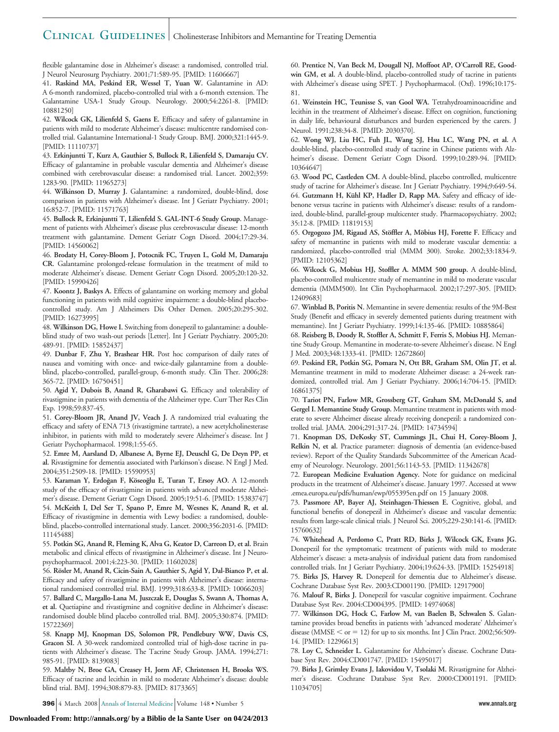# CLINICAL GUIDELINES | Cholinesterase Inhibitors and Memantine for Treating Dementia

flexible galantamine dose in Alzheimer's disease: a randomised, controlled trial. J Neurol Neurosurg Psychiatry. 2001;71:589-95. [PMID: 11606667]

41. **Raskind MA, Peskind ER, Wessel T, Yuan W.** Galantamine in AD: A 6-month randomized, placebo-controlled trial with a 6-month extension. The Galantamine USA-1 Study Group. Neurology. 2000;54:2261-8. [PMID: 10881250]

42. **Wilcock GK, Lilienfeld S, Gaens E.** Efficacy and safety of galantamine in patients with mild to moderate Alzheimer's disease: multicentre randomised controlled trial. Galantamine International-1 Study Group. BMJ. 2000;321:1445-9. [PMID: 11110737]

43. **Erkinjuntti T, Kurz A, Gauthier S, Bullock R, Lilienfeld S, Damaraju CV.** Efficacy of galantamine in probable vascular dementia and Alzheimer's disease combined with cerebrovascular disease: a randomised trial. Lancet. 2002;359: 1283-90. [PMID: 11965273]

44. **Wilkinson D, Murray J.** Galantamine: a randomized, double-blind, dose comparison in patients with Alzheimer's disease. Int J Geriatr Psychiatry. 2001; 16:852-7. [PMID: 11571763]

45. **Bullock R, Erkinjuntti T, Lilienfeld S. GAL-INT-6 Study Group.** Management of patients with Alzheimer's disease plus cerebrovascular disease: 12-month treatment with galantamine. Dement Geriatr Cogn Disord. 2004;17:29-34. [PMID: 14560062]

46. **Brodaty H, Corey-Bloom J, Potocnik FC, Truyen L, Gold M, Damaraju CR.** Galantamine prolonged-release formulation in the treatment of mild to moderate Alzheimer's disease. Dement Geriatr Cogn Disord. 2005;20:120-32. [PMID: 15990426]

47. **Koontz J, Baskys A.** Effects of galantamine on working memory and global functioning in patients with mild cognitive impairment: a double-blind placebocontrolled study. Am J Alzheimers Dis Other Demen. 2005;20:295-302. [PMID: 16273995]

48. **Wilkinson DG, Howe I.** Switching from donepezil to galantamine: a doubleblind study of two wash-out periods [Letter]. Int J Geriatr Psychiatry. 2005;20: 489-91. [PMID: 15852437]

49. **Dunbar F, Zhu Y, Brashear HR.** Post hoc comparison of daily rates of nausea and vomiting with once- and twice-daily galantamine from a doubleblind, placebo-controlled, parallel-group, 6-month study. Clin Ther. 2006;28: 365-72. [PMID: 16750451]

50. **Agid Y, Dubois B, Anand R, Gharabawi G.** Efficacy and tolerability of rivastigmine in patients with dementia of the Alzheimer type. Curr Ther Res Clin Exp. 1998;59:837-45.

51. **Corey-Bloom JR, Anand JV, Veach J.** A randomized trial evaluating the efficacy and safety of ENA 713 (rivastigmine tartrate), a new acetylcholinesterase inhibitor, in patients with mild to moderately severe Alzheimer's disease. Int J Geriatr Psychopharmacol. 1998;1:55-65.

52. **Emre M, Aarsland D, Albanese A, Byrne EJ, Deuschl G, De Deyn PP, et al.** Rivastigmine for dementia associated with Parkinson's disease. N Engl J Med. 2004;351:2509-18. [PMID: 15590953]

53. Karaman Y, Erdoğan F, Köseoğlu E, Turan T, Ersoy AO. A 12-month study of the efficacy of rivastigmine in patients with advanced moderate Alzheimer's disease. Dement Geriatr Cogn Disord. 2005;19:51-6. [PMID: 15383747] 54. **McKeith I, Del Ser T, Spano P, Emre M, Wesnes K, Anand R, et al.** Efficacy of rivastigmine in dementia with Lewy bodies: a randomised, doubleblind, placebo-controlled international study. Lancet. 2000;356:2031-6. [PMID: 11145488]

55. **Potkin SG, Anand R, Fleming K, Alva G, Keator D, Carreon D, et al.** Brain metabolic and clinical effects of rivastigmine in Alzheimer's disease. Int J Neuropsychopharmacol. 2001;4:223-30. [PMID: 11602028]

56. **Ro¨sler M, Anand R, Cicin-Sain A, Gauthier S, Agid Y, Dal-Bianco P, et al.** Efficacy and safety of rivastigmine in patients with Alzheimer's disease: international randomised controlled trial. BMJ. 1999;318:633-8. [PMID: 10066203]

57. **Ballard C, Margallo-Lana M, Juszczak E, Douglas S, Swann A, Thomas A, et al.** Quetiapine and rivastigmine and cognitive decline in Alzheimer's disease: randomised double blind placebo controlled trial. BMJ. 2005;330:874. [PMID: 15722369]

58. **Knapp MJ, Knopman DS, Solomon PR, Pendlebury WW, Davis CS, Gracon SI.** A 30-week randomized controlled trial of high-dose tacrine in patients with Alzheimer's disease. The Tacrine Study Group. JAMA. 1994;271: 985-91. [PMID: 8139083]

59. **Maltby N, Broe GA, Creasey H, Jorm AF, Christensen H, Brooks WS.** Efficacy of tacrine and lecithin in mild to moderate Alzheimer's disease: double blind trial. BMJ. 1994;308:879-83. [PMID: 8173365]

**396** 4 March 2008 Annals of Internal Medicine Volume 148 • Number 5 **www.annals.org**

60. **Prentice N, Van Beck M, Dougall NJ, Moffoot AP, O'Carroll RE, Goodwin GM, et al.** A double-blind, placebo-controlled study of tacrine in patients with Alzheimer's disease using SPET. J Psychopharmacol. (Oxf). 1996;10:175- 81.

61. **Weinstein HC, Teunisse S, van Gool WA.** Tetrahydroaminoacridine and lecithin in the treatment of Alzheimer's disease. Effect on cognition, functioning in daily life, behavioural disturbances and burden experienced by the carers. J Neurol. 1991;238:34-8. [PMID: 2030370].

62. **Wong WJ, Liu HC, Fuh JL, Wang SJ, Hsu LC, Wang PN, et al.** A double-blind, placebo-controlled study of tacrine in Chinese patients with Alzheimer's disease. Dement Geriatr Cogn Disord. 1999;10:289-94. [PMID: 10364647]

63. **Wood PC, Castleden CM.** A double-blind, placebo controlled, multicentre study of tacrine for Alzheimer's disease. Int J Geriatr Psychiatry. 1994;9:649-54. 64. Gutzmann H, Kühl KP, Hadler D, Rapp MA. Safety and efficacy of idebenone versus tacrine in patients with Alzheimer's disease: results of a randomized, double-blind, parallel-group multicenter study. Pharmacopsychiatry. 2002; 35:12-8. [PMID: 11819153]

65. Orgogozo JM, Rigaud AS, Stöffler A, Möbius HJ, Forette F. Efficacy and safety of memantine in patients with mild to moderate vascular dementia: a randomized, placebo-controlled trial (MMM 300). Stroke. 2002;33:1834-9. [PMID: 12105362]

66. **Wilcock G, Mobius HJ, Stoffler A. MMM 500 group.** A double-blind, placebo-controlled multicentre study of memantine in mild to moderate vascular dementia (MMM500). Int Clin Psychopharmacol. 2002;17:297-305. [PMID: 12409683]

67. **Winblad B, Poritis N.** Memantine in severe dementia: results of the 9M-Best Study (Benefit and efficacy in severely demented patients during treatment with memantine). Int J Geriatr Psychiatry. 1999;14:135-46. [PMID: 10885864]

68. **Reisberg B, Doody R, Stoffler A, Schmitt F, Ferris S, Mobius HJ.** Memantine Study Group. Memantine in moderate-to-severe Alzheimer's disease. N Engl J Med. 2003;348:1333-41. [PMID: 12672860]

69. **Peskind ER, Potkin SG, Pomara N, Ott BR, Graham SM, Olin JT, et al.** Memantine treatment in mild to moderate Alzheimer disease: a 24-week randomized, controlled trial. Am J Geriatr Psychiatry. 2006;14:704-15. [PMID: 16861375]

70. **Tariot PN, Farlow MR, Grossberg GT, Graham SM, McDonald S, and Gergel I. Memantine Study Group.** Memantine treatment in patients with moderate to severe Alzheimer disease already receiving donepezil: a randomized controlled trial. JAMA. 2004;291:317-24. [PMID: 14734594]

71. **Knopman DS, DeKosky ST, Cummings JL, Chui H, Corey-Bloom J, Relkin N, et al.** Practice parameter: diagnosis of dementia (an evidence-based review). Report of the Quality Standards Subcommittee of the American Academy of Neurology. Neurology. 2001;56:1143-53. [PMID: 11342678]

72. **European Medicine Evaluation Agency.** Note for guidance on medicinal products in the treatment of Alzheimer's disease. January 1997. Accessed at www .emea.europa.eu/pdfs/human/ewp/055395en.pdf on 15 January 2008.

73. **Passmore AP, Bayer AJ, Steinhagen-Thiessen E.** Cognitive, global, and functional benefits of donepezil in Alzheimer's disease and vascular dementia: results from large-scale clinical trials. J Neurol Sci. 2005;229-230:141-6. [PMID: 15760632]

74. **Whitehead A, Perdomo C, Pratt RD, Birks J, Wilcock GK, Evans JG.** Donepezil for the symptomatic treatment of patients with mild to moderate Alzheimer's disease: a meta-analysis of individual patient data from randomised controlled trials. Int J Geriatr Psychiatry. 2004;19:624-33. [PMID: 15254918] 75. **Birks JS, Harvey R.** Donepezil for dementia due to Alzheimer's disease. Cochrane Database Syst Rev. 2003:CD001190. [PMID: 12917900]

76. **Malouf R, Birks J.** Donepezil for vascular cognitive impairment. Cochrane Database Syst Rev. 2004:CD004395. [PMID: 14974068]

77. **Wilkinson DG, Hock C, Farlow M, van Baelen B, Schwalen S.** Galantamine provides broad benefits in patients with 'advanced moderate' Alzheimer's disease (MMSE  $<$  or  $=$  12) for up to six months. Int J Clin Pract. 2002;56:509-14. [PMID: 12296613]

78. **Loy C, Schneider L.** Galantamine for Alzheimer's disease. Cochrane Database Syst Rev. 2004:CD001747. [PMID: 15495017]

79. **Birks J, Grimley Evans J, Iakovidou V, Tsolaki M.** Rivastigmine for Alzheimer's disease. Cochrane Database Syst Rev. 2000:CD001191. [PMID: 11034705]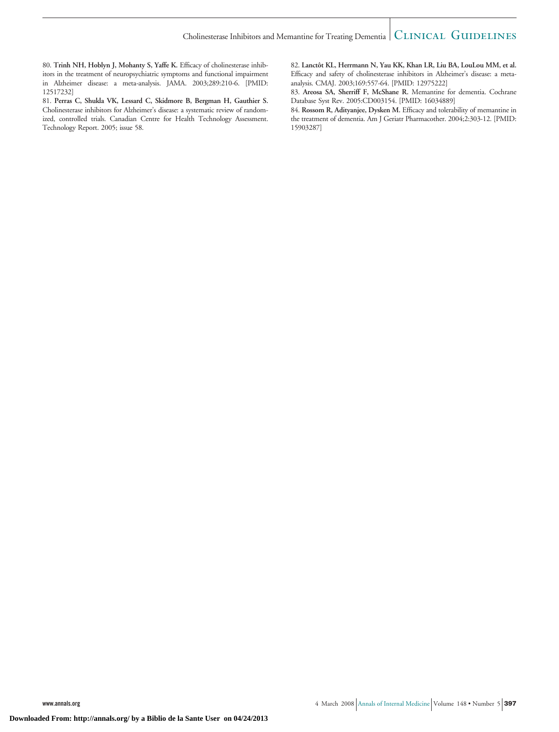80. **Trinh NH, Hoblyn J, Mohanty S, Yaffe K.** Efficacy of cholinesterase inhibitors in the treatment of neuropsychiatric symptoms and functional impairment in Alzheimer disease: a meta-analysis. JAMA. 2003;289:210-6. [PMID: 12517232]

81. **Perras C, Shukla VK, Lessard C, Skidmore B, Bergman H, Gauthier S.** Cholinesterase inhibitors for Alzheimer's disease: a systematic review of randomized, controlled trials. Canadian Centre for Health Technology Assessment. Technology Report. 2005; issue 58.

82. Lanctôt KL, Herrmann N, Yau KK, Khan LR, Liu BA, LouLou MM, et al. Efficacy and safety of cholinesterase inhibitors in Alzheimer's disease: a metaanalysis. CMAJ. 2003;169:557-64. [PMID: 12975222]

83. **Areosa SA, Sherriff F, McShane R.** Memantine for dementia. Cochrane Database Syst Rev. 2005:CD003154. [PMID: 16034889]

84. **Rossom R, Adityanjee, Dysken M.** Efficacy and tolerability of memantine in the treatment of dementia. Am J Geriatr Pharmacother. 2004;2:303-12. [PMID: 15903287]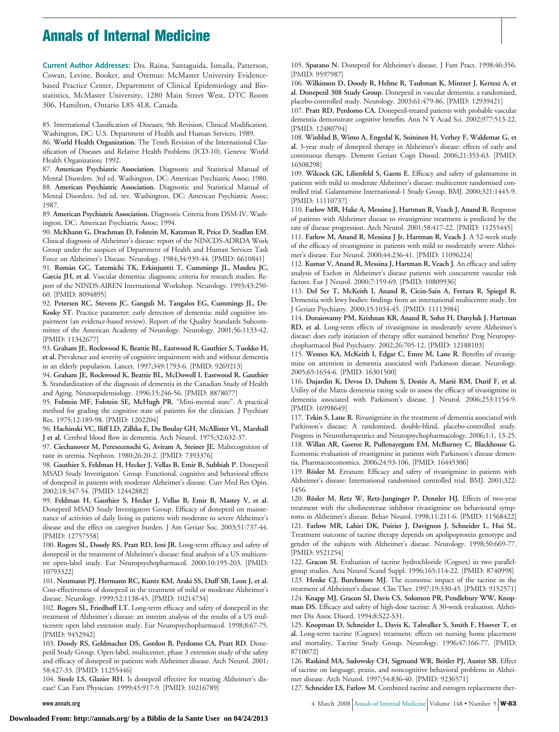# **Annals of Internal Medicine**

**Current Author Addresses:** Drs. Raina, Santaguida, Ismaila, Patterson, Cowan, Levine, Booker, and Oremus: McMaster University Evidencebased Practice Center, Department of Clinical Epidemiology and Biostatistics, McMaster University, 1280 Main Street West, DTC Room 306, Hamilton, Ontario L8S 4L8, Canada.

85. International Classification of Diseases, 9th Revision, Clinical Modification. Washington, DC: U.S. Department of Health and Human Services; 1989.

86. **World Health Organization.** The Tenth Revision of the International Classification of Diseases and Relative Health Problems (ICD-10). Geneva: World Health Organization; 1992.

87. **American Psychiatric Association.** Diagnostic and Statistical Manual of Mental Disorders. 3rd ed. Washington, DC: American Psychiatric Assoc; 1980. 88. **American Psychiatric Association.** Diagnostic and Statistical Manual of Mental Disorders. 3rd ed. rev. Washington, DC: American Psychiatric Assoc; 1987.

89. **American Psychiatric Association.** Diagnostic Criteria from DSM-IV. Washington, DC: American Psychiatric Assoc; 1994.

90. **McKhann G, Drachman D, Folstein M, Katzman R, Price D, Stadlan EM.** Clinical diagnosis of Alzheimer's disease: report of the NINCDS-ADRDA Work Group under the auspices of Department of Health and Human Services Task Force on Alzheimer's Disease. Neurology. 1984;34:939-44. [PMID: 6610841] 91. **Roma´n GC, Tatemichi TK, Erkinjuntti T, Cummings JL, Masdeu JC, Garcia JH, et al.** Vascular dementia: diagnostic criteria for research studies. Report of the NINDS-AIREN International Workshop. Neurology. 1993;43:250- 60. [PMID: 8094895]

92. **Petersen RC, Stevens JC, Ganguli M, Tangalos EG, Cummings JL, De-Kosky ST.** Practice parameter: early detection of dementia: mild cognitive impairment (an evidence-based review). Report of the Quality Standards Subcommittee of the American Academy of Neurology. Neurology. 2001;56:1133-42. [PMID: 11342677]

93. **Graham JE, Rockwood K, Beattie BL, Eastwood R, Gauthier S, Tuokko H, et al.** Prevalence and severity of cognitive impairment with and without dementia in an elderly population. Lancet. 1997;349:1793-6. [PMID: 9269213]

94. **Graham JE, Rockwood K, Beattie BL, McDowell I, Eastwood R, Gauthier S.** Standardization of the diagnosis of dementia in the Canadian Study of Health and Aging. Neuroepidemiology. 1996;15:246-56. [PMID: 8878077]

95. **Folstein MF, Folstein SE, McHugh PR.** "Mini-mental state". A practical method for grading the cognitive state of patients for the clinician. J Psychiatr Res. 1975;12:189-98. [PMID: 1202204]

96. **Hachinski VC, Iliff LD, Zilhka E, Du Boulay GH, McAllister VL, Marshall J et al.** Cerebral blood flow in dementia. Arch Neurol. 1975;32:632-37.

97. **Ciechanover M, Peresecenschi G, Aviram A, Steiner JE.** Malrecognition of taste in uremia. Nephron. 1980;26:20-2. [PMID: 7393376]

98. **Gauthier S, Feldman H, Hecker J, Vellas B, Emir B, Subbiah P.** Donepezil MSAD Study Investigators' Group. Functional, cognitive and behavioral effects of donepezil in patients with moderate Alzheimer's disease. Curr Med Res Opin. 2002;18:347-54. [PMID: 12442882]

99. **Feldman H, Gauthier S, Hecker J, Vellas B, Emir B, Mastey V, et al.** Donepezil MSAD Study Investigators Group. Efficacy of donepezil on maintenance of activities of daily living in patients with moderate to severe Alzheimer's disease and the effect on caregiver burden. J Am Geriatr Soc. 2003;51:737-44. [PMID: 12757558]

100. **Rogers SL, Doody RS, Pratt RD, Ieni JR.** Long-term efficacy and safety of donepezil in the treatment of Alzheimer's disease: final analysis of a US multicentre open-label study. Eur Neuropsychopharmacol. 2000;10:195-203. [PMID: 10793322]

101. **Neumann PJ, Hermann RC, Kuntz KM, Araki SS, Duff SB, Leon J, et al.** Cost-effectiveness of donepezil in the treatment of mild or moderate Alzheimer's disease. Neurology. 1999;52:1138-45. [PMID: 10214734]

102. **Rogers SL, Friedhoff LT.** Long-term efficacy and safety of donepezil in the treatment of Alzheimer's disease: an interim analysis of the results of a US multicentre open label extension study. Eur Neuropsychopharmacol. 1998;8:67-75. [PMID: 9452942]

103. **Doody RS, Geldmacher DS, Gordon B, Perdomo CA, Pratt RD.** Donepezil Study Group. Open-label, multicenter, phase 3 extension study of the safety and efficacy of donepezil in patients with Alzheimer disease. Arch Neurol. 2001; 58:427-33. [PMID: 11255446]

104. **Steele LS, Glazier RH.** Is donepezil effective for treating Alzheimer's disease? Can Fam Physician. 1999;45:917-9. [PMID: 10216789]

105. **Sparano N.** Donepezil for Alzheimer's disease. J Fam Pract. 1998;46:356. [PMID: 9597987]

106. **Wilkinson D, Doody R, Helme R, Taubman K, Mintzer J, Kertesz A, et al. Donepezil 308 Study Group.** Donepezil in vascular dementia: a randomized, placebo-controlled study. Neurology. 2003;61:479-86. [PMID: 12939421]

107. **Pratt RD, Perdomo CA.** Donepezil-treated patients with probable vascular dementia demonstrate cognitive benefits. Ann N Y Acad Sci. 2002;977:513-22. [PMID: 12480794]

108. **Winblad B, Wimo A, Engedal K, Soininen H, Verhey F, Waldemar G, et al.** 3-year study of donepezil therapy in Alzheimer's disease: effects of early and continuous therapy. Dement Geriatr Cogn Disord. 2006;21:353-63. [PMID: 16508298]

109. **Wilcock GK, Lilienfeld S, Gaens E.** Efficacy and safety of galantamine in patients with mild to moderate Alzheimer's disease: multicentre randomised controlled trial. Galantamine International-1 Study Group. BMJ. 2000;321:1445-9. [PMID: 11110737]

110. **Farlow MR, Hake A, Messina J, Hartman R, Veach J, Anand R.** Response of patients with Alzheimer disease to rivastigmine treatment is predicted by the rate of disease progression. Arch Neurol. 2001;58:417-22. [PMID: 11255445]

111. **Farlow M, Anand R, Messina J Jr, Hartman R, Veach J.** A 52-week study of the efficacy of rivastigmine in patients with mild to moderately severe Alzheimer's disease. Eur Neurol. 2000;44:236-41. [PMID: 11096224]

112. **Kumar V, Anand R, Messina J, Hartman R, Veach J.** An efficacy and safety analysis of Exelon in Alzheimer's disease patients with concurrent vascular risk factors. Eur J Neurol. 2000;7:159-69. [PMID: 10809936]

113. **Del Ser T, McKeith I, Anand R, Cicin-Sain A, Ferrara R, Spiegel R.** Dementia with lewy bodies: findings from an international multicentre study. Int J Geriatr Psychiatry. 2000;15:1034-45. [PMID: 11113984]

114. **Doraiswamy PM, Krishnan KR, Anand R, Sohn H, Danyluk J, Hartman RD, et al.** Long-term effects of rivastigmine in moderately severe Alzheimer's disease: does early initiation of therapy offer sustained benefits? Prog Neuropsychopharmacol Biol Psychiatry. 2002;26:705-12. [PMID: 12188103]

115. **Wesnes KA, McKeith I, Edgar C, Emre M, Lane R.** Benefits of rivastigmine on attention in dementia associated with Parkinson disease. Neurology. 2005;65:1654-6. [PMID: 16301500]

116. Dujardin K, Devos D, Duhem S, Destée A, Marié RM, Durif F, et al. Utility of the Mattis dementia rating scale to assess the efficacy of rivastigmine in dementia associated with Parkinson's disease. J Neurol. 2006;253:1154-9. [PMID: 16998649]

117. **Tekin S, Lane R.** Rivastigmine in the treatment of dementia associated with Parkinson's disease: A randomized, double-blind, placebo-controlled study. Progress in Neurotherapeutics and Neuropsychopharmacology. 2006;1:1, 13-25. 118. **Willan AR, Goeree R, Pullenayegum EM, McBurney C, Blackhouse G.** Economic evaluation of rivastigmine in patients with Parkinson's disease dementia. Pharmacoeconomics. 2006;24:93-106. [PMID: 16445306]

119. Rösler M. Erratum: Efficacy and safety of rivastigmine in patients with Alzheimer's disease: International randomised controlled trial. BMJ. 2001;322: 1456.

120. Rösler M, Retz W, Retz-Junginger P, Dennler HJ. Effects of two-year treatment with the cholinesterase inhibitor rivastigmine on behavioural symptoms in Alzheimer's disease. Behav Neurol. 1998;11:211-6. [PMID: 11568422] 121. **Farlow MR, Lahiri DK, Poirier J, Davignon J, Schneider L, Hui SL.** Treatment outcome of tacrine therapy depends on apolipoprotein genotype and gender of the subjects with Alzheimer's disease. Neurology. 1998;50:669-77. [PMID: 9521254]

122. **Gracon SI.** Evaluation of tacrine hydrochloride (Cognex) in two parallelgroup studies. Acta Neurol Scand Suppl. 1996;165:114-22. [PMID: 8740998] 123. **Henke CJ, Burchmore MJ.** The economic impact of the tacrine in the treatment of Alzheimer's disease. Clin Ther. 1997;19:330-45. [PMID: 9152571] 124. **Knapp MJ, Gracon SI, Davis CS, Solomon PR, Pendlebury WW, Knopman DS.** Efficacy and safety of high-dose tacrine: A 30-week evaluation. Alzheimer Dis Assoc Disord. 1994;8:S22-S31.

125. **Knopman D, Schneider L, Davis K, Talwalker S, Smith F, Hoover T, et al.** Long-term tacrine (Cognex) treatment: effects on nursing home placement and mortality, Tacrine Study Group. Neurology. 1996;47:166-77. [PMID: 8710072]

126. **Raskind MA, Sadowsky CH, Sigmund WR, Beitler PJ, Auster SB.** Effect of tacrine on language, praxis, and noncognitive behavioral problems in Alzheimer disease. Arch Neurol. 1997;54:836-40. [PMID: 9236571]

127. **Schneider LS, Farlow M.** Combined tacrine and estrogen replacement ther-

**www.annals.org W-83** and  $\frac{4 \text{ March } 2008}{\text{Annals of Internal Medicine}}$  Volume 148 • Number 5 **W-83**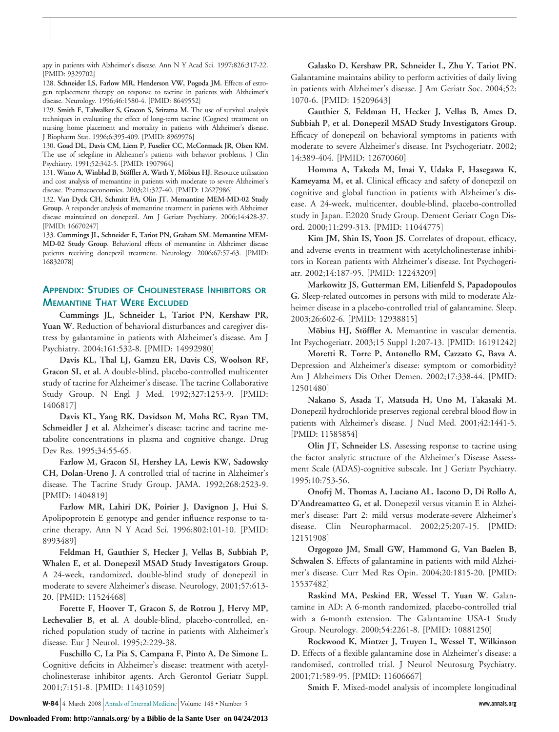apy in patients with Alzheimer's disease. Ann N Y Acad Sci. 1997;826:317-22. [PMID: 9329702]

128. **Schneider LS, Farlow MR, Henderson VW, Pogoda JM.** Effects of estrogen replacement therapy on response to tacrine in patients with Alzheimer's disease. Neurology. 1996;46:1580-4. [PMID: 8649552]

129. **Smith F, Talwalker S, Gracon S, Srirama M.** The use of survival analysis techniques in evaluating the effect of long-term tacrine (Cognex) treatment on nursing home placement and mortality in patients with Alzheimer's disease. J Biopharm Stat. 1996;6:395-409. [PMID: 8969976]

130. **Goad DL, Davis CM, Liem P, Fuselier CC, McCormack JR, Olsen KM.** The use of selegiline in Alzheimer's patients with behavior problems. J Clin Psychiatry. 1991;52:342-5. [PMID: 1907964]

131. Wimo A, Winblad B, Stöffler A, Wirth Y, Möbius HJ. Resource utilisation and cost analysis of memantine in patients with moderate to severe Alzheimer's disease. Pharmacoeconomics. 2003;21:327-40. [PMID: 12627986]

132. **Van Dyck CH, Schmitt FA, Olin JT. Memantine MEM-MD-02 Study Group.** A responder analysis of memantine treatment in patients with Alzheimer disease maintained on donepezil. Am J Geriatr Psychiatry. 2006;14:428-37. [PMID: 16670247]

133. **Cummings JL, Schneider E, Tariot PN, Graham SM. Memantine MEM-MD-02 Study Group.** Behavioral effects of memantine in Alzheimer disease patients receiving donepezil treatment. Neurology. 2006;67:57-63. [PMID: 16832078]

# **APPENDIX: STUDIES OF CHOLINESTERASE INHIBITORS OR MEMANTINE THAT WERE EXCLUDED**

**Cummings JL, Schneider L, Tariot PN, Kershaw PR, Yuan W.** Reduction of behavioral disturbances and caregiver distress by galantamine in patients with Alzheimer's disease. Am J Psychiatry. 2004;161:532-8. [PMID: 14992980]

**Davis KL, Thal LJ, Gamzu ER, Davis CS, Woolson RF, Gracon SI, et al.** A double-blind, placebo-controlled multicenter study of tacrine for Alzheimer's disease. The tacrine Collaborative Study Group. N Engl J Med. 1992;327:1253-9. [PMID: 1406817]

**Davis KL, Yang RK, Davidson M, Mohs RC, Ryan TM, Schmeidler J et al.** Alzheimer's disease: tacrine and tacrine metabolite concentrations in plasma and cognitive change. Drug Dev Res. 1995;34:55-65.

**Farlow M, Gracon SI, Hershey LA, Lewis KW, Sadowsky CH, Dolan-Ureno J.** A controlled trial of tacrine in Alzheimer's disease. The Tacrine Study Group. JAMA. 1992;268:2523-9. [PMID: 1404819]

**Farlow MR, Lahiri DK, Poirier J, Davignon J, Hui S.** Apolipoprotein E genotype and gender influence response to tacrine therapy. Ann N Y Acad Sci. 1996;802:101-10. [PMID: 8993489]

**Feldman H, Gauthier S, Hecker J, Vellas B, Subbiah P, Whalen E, et al. Donepezil MSAD Study Investigators Group.** A 24-week, randomized, double-blind study of donepezil in moderate to severe Alzheimer's disease. Neurology. 2001;57:613- 20. [PMID: 11524468]

**Forette F, Hoover T, Gracon S, de Rotrou J, Hervy MP, Lechevalier B, et al.** A double-blind, placebo-controlled, enriched population study of tacrine in patients with Alzheimer's disease. Eur J Neurol. 1995;2:229-38.

**Fuschillo C, La Pia S, Campana F, Pinto A, De Simone L.** Cognitive deficits in Alzheimer's disease: treatment with acetylcholinesterase inhibitor agents. Arch Gerontol Geriatr Suppl. 2001;7:151-8. [PMID: 11431059]

**W-84** 4 March 2008 Annals of Internal Medicine Volume 148 • Number 5 **www.annals.org**

**Galasko D, Kershaw PR, Schneider L, Zhu Y, Tariot PN.** Galantamine maintains ability to perform activities of daily living in patients with Alzheimer's disease. J Am Geriatr Soc. 2004;52: 1070-6. [PMID: 15209643]

**Gauthier S, Feldman H, Hecker J, Vellas B, Ames D, Subbiah P, et al. Donepezil MSAD Study Investigators Group.** Efficacy of donepezil on behavioral symptoms in patients with moderate to severe Alzheimer's disease. Int Psychogeriatr. 2002; 14:389-404. [PMID: 12670060]

**Homma A, Takeda M, Imai Y, Udaka F, Hasegawa K, Kameyama M, et al.** Clinical efficacy and safety of donepezil on cognitive and global function in patients with Alzheimer's disease. A 24-week, multicenter, double-blind, placebo-controlled study in Japan. E2020 Study Group. Dement Geriatr Cogn Disord. 2000;11:299-313. [PMID: 11044775]

**Kim JM, Shin IS, Yoon JS.** Correlates of dropout, efficacy, and adverse events in treatment with acetylcholinesterase inhibitors in Korean patients with Alzheimer's disease. Int Psychogeriatr. 2002;14:187-95. [PMID: 12243209]

**Markowitz JS, Gutterman EM, Lilienfeld S, Papadopoulos G.** Sleep-related outcomes in persons with mild to moderate Alzheimer disease in a placebo-controlled trial of galantamine. Sleep. 2003;26:602-6. [PMID: 12938815]

Möbius HJ, Stöffler A. Memantine in vascular dementia. Int Psychogeriatr. 2003;15 Suppl 1:207-13. [PMID: 16191242]

**Moretti R, Torre P, Antonello RM, Cazzato G, Bava A.** Depression and Alzheimer's disease: symptom or comorbidity? Am J Alzheimers Dis Other Demen. 2002;17:338-44. [PMID: 12501480]

**Nakano S, Asada T, Matsuda H, Uno M, Takasaki M.** Donepezil hydrochloride preserves regional cerebral blood flow in patients with Alzheimer's disease. J Nucl Med. 2001;42:1441-5. [PMID: 11585854]

**Olin JT, Schneider LS.** Assessing response to tacrine using the factor analytic structure of the Alzheimer's Disease Assessment Scale (ADAS)-cognitive subscale. Int J Geriatr Psychiatry. 1995;10:753-56.

**Onofrj M, Thomas A, Luciano AL, Iacono D, Di Rollo A, D'Andreamatteo G, et al.** Donepezil versus vitamin E in Alzheimer's disease: Part 2: mild versus moderate-severe Alzheimer's disease. Clin Neuropharmacol. 2002;25:207-15. [PMID: 12151908]

**Orgogozo JM, Small GW, Hammond G, Van Baelen B, Schwalen S.** Effects of galantamine in patients with mild Alzheimer's disease. Curr Med Res Opin. 2004;20:1815-20. [PMID: 15537482]

**Raskind MA, Peskind ER, Wessel T, Yuan W.** Galantamine in AD: A 6-month randomized, placebo-controlled trial with a 6-month extension. The Galantamine USA-1 Study Group. Neurology. 2000;54:2261-8. [PMID: 10881250]

**Rockwood K, Mintzer J, Truyen L, Wessel T, Wilkinson D.** Effects of a flexible galantamine dose in Alzheimer's disease: a randomised, controlled trial. J Neurol Neurosurg Psychiatry. 2001;71:589-95. [PMID: 11606667]

**Smith F.** Mixed-model analysis of incomplete longitudinal